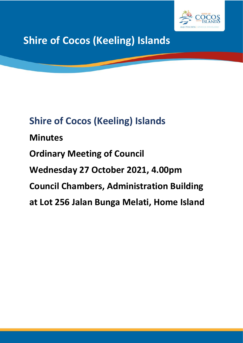

# **Shire of Cocos (Keeling) Islands**

# **Shire of Cocos (Keeling) Islands Minutes Ordinary Meeting of Council Wednesday 27 October 2021, 4.00pm Council Chambers, Administration Building at Lot 256 Jalan Bunga Melati, Home Island**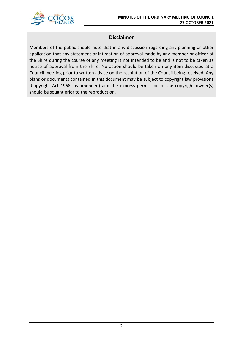

## **Disclaimer**

Members of the public should note that in any discussion regarding any planning or other application that any statement or intimation of approval made by any member or officer of the Shire during the course of any meeting is not intended to be and is not to be taken as notice of approval from the Shire. No action should be taken on any item discussed at a Council meeting prior to written advice on the resolution of the Council being received. Any plans or documents contained in this document may be subject to copyright law provisions (Copyright Act 1968, as amended) and the express permission of the copyright owner(s) should be sought prior to the reproduction.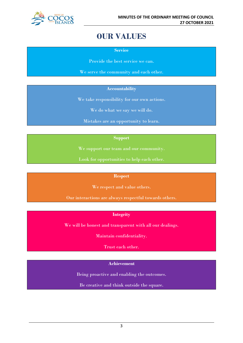

## **OUR VALUES**

**Service**

Provide the best service we can.

We serve the community and each other.

## **Accountability**

We take responsibility for our own actions.

We do what we say we will do.

Mistakes are an opportunity to learn.

## **Support**

We support our team and our community.

Look for opportunities to help each other.

## **Respect**

We respect and value others.

Our interactions are always respectful towards others.

## **Integrity**

We will be honest and transparent with all our dealings.

Maintain confidentiality.

Trust each other.

## **Achievement**

Being proactive and enabling the outcomes.

Be creative and think outside the square.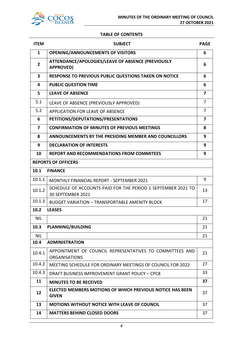

## **TABLE OF CONTENTS**

| <b>ITEM</b>             | <b>SUBJECT</b>                                                                    | <b>PAGE</b>    |
|-------------------------|-----------------------------------------------------------------------------------|----------------|
| $\mathbf{1}$            | <b>OPENING/ANNOUNCEMENTS OF VISITORS</b>                                          | 6              |
| $\overline{2}$          | ATTENDANCE/APOLOGIES/LEAVE OF ABSENCE (PREVIOUSLY<br><b>APPROVED)</b>             | 6              |
| $\overline{\mathbf{3}}$ | RESPONSE TO PREVIOUS PUBLIC QUESTIONS TAKEN ON NOTICE                             | 6              |
| 4                       | <b>PUBLIC QUESTION TIME</b>                                                       | 6              |
| 5                       | <b>LEAVE OF ABSENCE</b>                                                           | 7              |
| 5.1                     | LEAVE OF ABSENCE (PREVIOUSLY APPROVED)                                            | 7              |
| 5.2                     | APPLICATION FOR LEAVE OF ABSENCE                                                  | 7              |
| 6                       | PETITIONS/DEPUTATIONS/PRESENTATIONS                                               | $\overline{7}$ |
| 7                       | <b>CONFIRMATION OF MINUTES OF PREVIOUS MEETINGS</b>                               | 8              |
| 8                       | ANNOUNCEMENTS BY THE PRESIDING MEMBER AND COUNCILLORS                             | 9              |
| 9                       | <b>DECLARATION OF INTERESTS</b>                                                   | 9              |
| 10                      | <b>REPORT AND RECOMMENDATIONS FROM COMMITEES</b>                                  | 9              |
|                         | <b>REPORTS OF OFFICERS</b>                                                        |                |
| 10.1                    | <b>FINANCE</b>                                                                    |                |
| 10.1.1                  | MONTHLY FINANCIAL REPORT - SEPTEMBER 2021                                         | 9              |
| 10.1.2                  | SCHEDULE OF ACCOUNTS PAID FOR THE PERIOD 1 SEPTEMBER 2021 TO<br>30 SEPTEMBER 2021 |                |
| 10.1.3                  | <b>BUDGET VARIATION - TRANSPORTABLE AMENITY BLOCK</b>                             | 17             |
| 10.2                    | <b>LEASES</b>                                                                     |                |
| <b>NIL</b>              |                                                                                   | 21             |
| 10.3                    | <b>PLANNING/BUILDING</b>                                                          | 21             |
| <b>NIL</b>              |                                                                                   | 21             |
| 10.4                    | <b>ADMINISTRATION</b>                                                             |                |
| 10.4.1                  | APPOINTMENT OF COUNCIL REPRESENTATIVES TO COMMITTEES AND<br><b>ORGANISATIONS</b>  | 21             |
| 10.4.2                  | MEETING SCHEDULE FOR ORDINARY MEETINGS OF COUNCIL FOR 2022                        | 27             |
| 10.4.3                  | DRAFT BUSINESS IMPROVEMENT GRANT POLICY - CPC8                                    | 33             |
| 11                      | <b>MINUTES TO BE RECEIVED</b>                                                     | 37             |
| 12                      | ELECTED MEMBERS MOTIONS OF WHICH PREVIOUS NOTICE HAS BEEN<br><b>GIVEN</b>         | 37             |
| 13                      | <b>MOTIONS WITHOUT NOTICE WITH LEAVE OF COUNCIL</b>                               | 37             |
| 14                      | <b>MATTERS BEHIND CLOSED DOORS</b>                                                | 37             |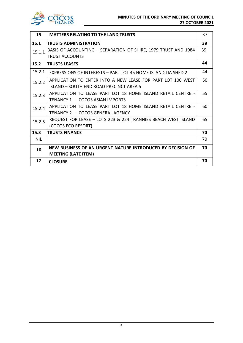

| 15         | <b>MATTERS RELATING TO THE LAND TRUSTS</b>                     | 37 |
|------------|----------------------------------------------------------------|----|
| 15.1       | <b>TRUSTS ADMINISTRATION</b>                                   | 39 |
| 15.1.1     | BASIS OF ACCOUNTING – SEPARATION OF SHIRE, 1979 TRUST AND 1984 | 39 |
|            | <b>TRUST ACCOUNTS</b>                                          |    |
| 15.2       | <b>TRUSTS LEASES</b>                                           | 44 |
| 15.2.1     | EXPRESSIONS OF INTERESTS - PART LOT 45 HOME ISLAND LIA SHED 2  | 44 |
| 15.2.2     | APPLICATION TO ENTER INTO A NEW LEASE FOR PART LOT 100 WEST    | 50 |
|            | ISLAND - SOUTH END ROAD PRECINCT AREA 5                        |    |
| 15.2.3     | APPLICATION TO LEASE PART LOT 18 HOME ISLAND RETAIL CENTRE -   | 55 |
|            | TENANCY 1 - COCOS ASIAN IMPORTS                                |    |
| 15.2.4     | APPLICATION TO LEASE PART LOT 18 HOME ISLAND RETAIL CENTRE -   | 60 |
|            | TENANCY 2 - COCOS GENERAL AGENCY                               |    |
| 15.2.5     | REQUEST FOR LEASE - LOTS 223 & 224 TRANNIES BEACH WEST ISLAND  | 65 |
|            | (COCOS ECO RESORT)                                             |    |
| 15.3       | <b>TRUSTS FINANCE</b>                                          | 70 |
| <b>NIL</b> |                                                                | 70 |
| 16         | NEW BUSINESS OF AN URGENT NATURE INTRODUCED BY DECISION OF     | 70 |
|            | <b>MEETING (LATE ITEM)</b>                                     |    |
| 17         | <b>CLOSURE</b>                                                 | 70 |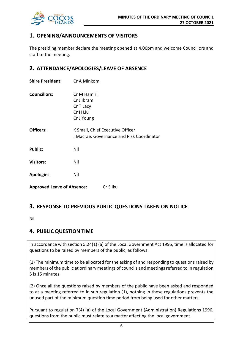

## **1. OPENING/ANNOUNCEMENTS OF VISITORS**

The presiding member declare the meeting opened at 4.00pm and welcome Councillors and staff to the meeting.

## **2. ATTENDANCE/APOLOGIES/LEAVE OF ABSENCE**

| <b>Shire President:</b>           | Cr A Minkom                                                                   |  |
|-----------------------------------|-------------------------------------------------------------------------------|--|
| <b>Councillors:</b>               | Cr M Hamiril<br>Cr J Ibram<br>Cr T Lacy<br>Cr H Liu<br>Cr J Young             |  |
| Officers:                         | K Small, Chief Executive Officer<br>I Macrae, Governance and Risk Coordinator |  |
| <b>Public:</b>                    | Nil                                                                           |  |
| <b>Visitors:</b>                  | Nil                                                                           |  |
| <b>Apologies:</b>                 | Nil                                                                           |  |
| <b>Approved Leave of Absence:</b> | Cr S Iku                                                                      |  |

## **3. RESPONSE TO PREVIOUS PUBLIC QUESTIONS TAKEN ON NOTICE**

Nil

## **4. PUBLIC QUESTION TIME**

In accordance with section 5.24(1) (a) of the Local Government Act 1995, time is allocated for questions to be raised by members of the public, as follows:

(1) The minimum time to be allocated for the asking of and responding to questions raised by members of the public at ordinary meetings of councils and meetings referred to in regulation 5 is 15 minutes.

(2) Once all the questions raised by members of the public have been asked and responded to at a meeting referred to in sub regulation (1), nothing in these regulations prevents the unused part of the minimum question time period from being used for other matters.

Pursuant to regulation 7(4) (a) of the Local Government (Administration) Regulations 1996, questions from the public must relate to a matter affecting the local government.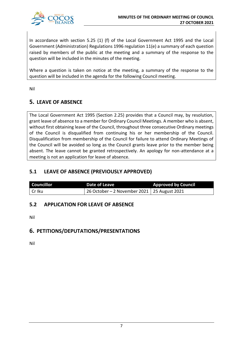

In accordance with section 5.25 (1) (f) of the Local Government Act 1995 and the Local Government (Administration) Regulations 1996 regulation 11(e) a summary of each question raised by members of the public at the meeting and a summary of the response to the question will be included in the minutes of the meeting.

Where a question is taken on notice at the meeting, a summary of the response to the question will be included in the agenda for the following Council meeting.

Nil

## **5. LEAVE OF ABSENCE**

The Local Government Act 1995 (Section 2.25) provides that a Council may, by resolution, grant leave of absence to a member for Ordinary Council Meetings. A member who is absent, without first obtaining leave of the Council, throughout three consecutive Ordinary meetings of the Council is disqualified from continuing his or her membership of the Council. Disqualification from membership of the Council for failure to attend Ordinary Meetings of the Council will be avoided so long as the Council grants leave prior to the member being absent. The leave cannot be granted retrospectively. An apology for non-attendance at a meeting is not an application for leave of absence.

## **5.1 LEAVE OF ABSENCE (PREVIOUSLY APPROVED)**

| <b>Councillor</b> | <b>Date of Leave</b>                                      | <b>Approved by Council</b> |
|-------------------|-----------------------------------------------------------|----------------------------|
| Cr Iku            | $\frac{1}{26}$ October – 2 November 2021   25 August 2021 |                            |

## **5.2 APPLICATION FOR LEAVE OF ABSENCE**

Nil

## **6. PETITIONS/DEPUTATIONS/PRESENTATIONS**

Nil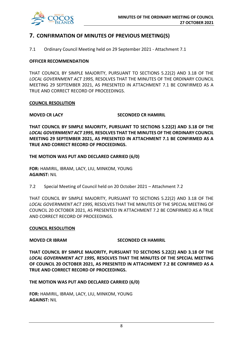

## **7. CONFIRMATION OF MINUTES OF PREVIOUS MEETING(S)**

7.1 Ordinary Council Meeting held on 29 September 2021 - Attachment 7.1

## **OFFICER RECOMMENDATION**

THAT COUNCIL BY SIMPLE MAJORITY, PURSUANT TO SECTIONS 5.22(2) AND 3.18 OF THE *LOCAL GOVERNMENT ACT 1995,* RESOLVES THAT THE MINUTES OF THE ORDINARY COUNCIL MEETING 29 SEPTEMBER 2021, AS PRESENTED IN ATTACHMENT 7.1 BE CONFIRMED AS A TRUE AND CORRECT RECORD OF PROCEEDINGS.

## **COUNCIL RESOLUTION**

## **MOVED CR LACY SECONDED CR HAMIRIL**

**THAT COUNCIL BY SIMPLE MAJORITY, PURSUANT TO SECTIONS 5.22(2) AND 3.18 OF THE**  *LOCAL GOVERNMENT ACT 1995,* **RESOLVES THAT THE MINUTES OF THE ORDINARY COUNCIL MEETING 29 SEPTEMBER 2021, AS PRESENTED IN ATTACHMENT 7.1 BE CONFIRMED AS A TRUE AND CORRECT RECORD OF PROCEEDINGS.**

## **THE MOTION WAS PUT AND DECLARED CARRIED (6/0)**

**FOR:** HAMIRIL, IBRAM, LACY, LIU, MINKOM, YOUNG **AGAINST:** NIL

7.2 Special Meeting of Council held on 20 October 2021 – Attachment 7.2

THAT COUNCIL BY SIMPLE MAJORITY, PURSUANT TO SECTIONS 5.22(2) AND 3.18 OF THE *LOCAL GOVERNMENT ACT 1995,* RESOLVES THAT THE MINUTES OF THE SPECIAL MEETING OF COUNCIL 20 OCTOBER 2021, AS PRESENTED IN ATTACHMENT 7.2 BE CONFIRMED AS A TRUE AND CORRECT RECORD OF PROCEEDINGS.

### **COUNCIL RESOLUTION**

## **MOVED CR IBRAM SECONDED CR HAMIRIL**

**THAT COUNCIL BY SIMPLE MAJORITY, PURSUANT TO SECTIONS 5.22(2) AND 3.18 OF THE** *LOCAL GOVERNMENT ACT 1995,* **RESOLVES THAT THE MINUTES OF THE SPECIAL MEETING OF COUNCIL 20 OCTOBER 2021, AS PRESENTED IN ATTACHMENT 7.2 BE CONFIRMED AS A TRUE AND CORRECT RECORD OF PROCEEDINGS.**

**THE MOTION WAS PUT AND DECLARED CARRIED (6/0)**

**FOR:** HAMIRIL, IBRAM, LACY, LIU, MINKOM, YOUNG **AGAINST:** NIL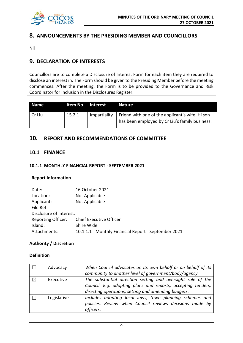

## **8. ANNOUNCEMENTS BY THE PRESIDING MEMBER AND COUNCILLORS**

Nil

## **9. DECLARATION OF INTERESTS**

Councillors are to complete a Disclosure of Interest Form for each item they are required to disclose an interest in. The Form should be given to the Presiding Member before the meeting commences. After the meeting, the Form is to be provided to the Governance and Risk Coordinator for inclusion in the Disclosures Register.

| <b>Name</b> | Item No. Interest |              | <b>Nature</b>                                                                                     |
|-------------|-------------------|--------------|---------------------------------------------------------------------------------------------------|
| Cr Liu      | 15.2.1            | Impartiality | Friend with one of the applicant's wife. Hi son<br>has been employed by Cr Liu's family business. |

## **10. REPORT AND RECOMMENDATIONS OF COMMITTEE**

## **10.1 FINANCE**

## **10.1.1 MONTHLY FINANCIAL REPORT - SEPTEMBER 2021**

## **Report Information**

| Date:                     | 16 October 2021                                      |
|---------------------------|------------------------------------------------------|
| Location:                 | Not Applicable                                       |
| Applicant:                | Not Applicable                                       |
| File Ref:                 |                                                      |
| Disclosure of Interest:   |                                                      |
| <b>Reporting Officer:</b> | <b>Chief Executive Officer</b>                       |
| Island:                   | Shire Wide                                           |
| Attachments:              | 10.1.1.1 - Monthly Financial Report - September 2021 |

## **Authority / Discretion**

## **Definition**

|          | Advocacy    | When Council advocates on its own behalf or on behalf of its |
|----------|-------------|--------------------------------------------------------------|
|          |             | community to another level of government/body/agency.        |
| $\times$ | Executive   | The substantial direction setting and oversight role of the  |
|          |             | Council. E.g. adopting plans and reports, accepting tenders, |
|          |             | directing operations, setting and amending budgets.          |
|          | Legislative | Includes adopting local laws, town planning schemes and      |
|          |             | policies. Review when Council reviews decisions made by      |
|          |             | officers.                                                    |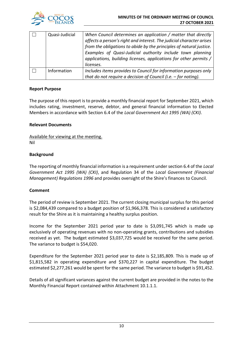

| Quasi-Judicial | When Council determines an application / matter that directly<br>affects a person's right and interest. The judicial character arises<br>from the obligations to abide by the principles of natural justice.<br>Examples of Quasi-Judicial authority include town planning<br>applications, building licenses, applications for other permits / |
|----------------|-------------------------------------------------------------------------------------------------------------------------------------------------------------------------------------------------------------------------------------------------------------------------------------------------------------------------------------------------|
|                | licenses.                                                                                                                                                                                                                                                                                                                                       |
| Information    | Includes items provides to Council for information purposes only<br>that do not require a decision of Council (i.e. $-$ for noting).                                                                                                                                                                                                            |

## **Report Purpose**

The purpose of this report is to provide a monthly financial report for September 2021, which includes rating, investment, reserve, debtor, and general financial information to Elected Members in accordance with Section 6.4 of the *Local Government Act 1995 (WA) (CKI)*.

## **Relevant Documents**

Available for viewing at the meeting. Nil

## **Background**

The reporting of monthly financial information is a requirement under section 6.4 of the *Local Government Act 1995 (WA) (CKI)*, and Regulation 34 of the *Local Government (Financial Management) Regulations 1996* and provides oversight of the Shire's finances to Council.

## **Comment**

The period of review is September 2021. The current closing municipal surplus for this period is \$2,084,439 compared to a budget position of \$1,966,378. This is considered a satisfactory result for the Shire as it is maintaining a healthy surplus position.

Income for the September 2021 period year to date is \$3,091,745 which is made up exclusively of operating revenues with no non-operating grants, contributions and subsidies received as yet. The budget estimated \$3,037,725 would be received for the same period. The variance to budget is \$54,020.

Expenditure for the September 2021 period year to date is \$2,185,809. This is made up of \$1,815,582 in operating expenditure and \$370,227 in capital expenditure. The budget estimated \$2,277,261 would be spent for the same period. The variance to budget is \$91,452.

Details of all significant variances against the current budget are provided in the notes to the Monthly Financial Report contained within Attachment 10.1.1.1.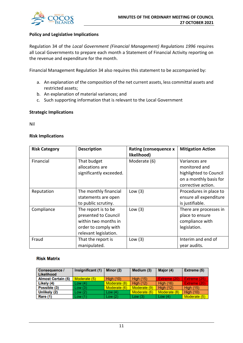

## **Policy and Legislative Implications**

Regulation 34 of the *Local Government (Financial Management) Regulations 1996* requires all Local Governments to prepare each month a Statement of Financial Activity reporting on the revenue and expenditure for the month.

Financial Management Regulation 34 also requires this statement to be accompanied by:

- a. An explanation of the composition of the net current assets, less committal assets and restricted assets;
- b. An explanation of material variances; and
- c. Such supporting information that is relevant to the Local Government

## **Strategic Implications**

Nil

## **Risk Implications**

| <b>Risk Category</b> | <b>Description</b>                                                                                                   | <b>Rating (consequence x</b><br>likelihood) | <b>Mitigation Action</b>                                                                                 |
|----------------------|----------------------------------------------------------------------------------------------------------------------|---------------------------------------------|----------------------------------------------------------------------------------------------------------|
| Financial            | That budget<br>allocations are<br>significantly exceeded.                                                            | Moderate (6)                                | Variances are<br>monitored and<br>highlighted to Council<br>on a monthly basis for<br>corrective action. |
| Reputation           | The monthly financial<br>statements are open<br>to public scrutiny.                                                  | Low $(3)$                                   | Procedures in place to<br>ensure all expenditure<br>is justifiable.                                      |
| Compliance           | The report is to be<br>presented to Council<br>within two months in<br>order to comply with<br>relevant legislation. | Low $(3)$                                   | There are processes in<br>place to ensure<br>compliance with<br>legislation.                             |
| Fraud                | That the report is<br>manipulated.                                                                                   | Low $(3)$                                   | Interim and end of<br>year audits.                                                                       |

### **Risk Matrix**

| <b>Consequence /</b><br>Likelihood | Insignificant (1) | Minor (2)        | Medium (3)       | Major (4)        | Extreme (5)      |
|------------------------------------|-------------------|------------------|------------------|------------------|------------------|
| <b>Almost Certain (5)</b>          | Moderate (5)      | <b>High (10)</b> | <b>High (15)</b> | Extreme (20)     | Extreme (25)     |
| Likely (4)                         | Low(4)            | Moderate (8)     | <b>High (12)</b> | <b>High (16)</b> | Extreme (20)     |
| Possible (3)                       | Low(3)            | Moderate (6)     | Moderate (9)     | <b>High (12)</b> | <b>High (15)</b> |
| Unlikely (2)                       | Low(2)            | Low $(4)$        | Moderate (6)     | Moderate (8)     | High $(10)$      |
| Rare (1)                           | Low(1)            | Low $(2)$        | Low $(3)$        | Low (4)          | Moderate (5)     |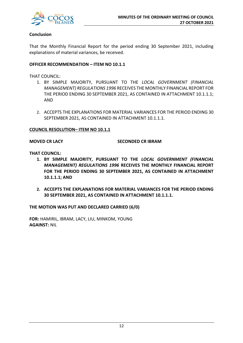

## **Conclusion**

That the Monthly Financial Report for the period ending 30 September 2021, including explanations of material variances, be received.

## **OFFICER RECOMMENDATION – ITEM NO 10.1.1**

THAT COUNCIL:

- 1. BY SIMPLE MAJORITY, PURSUANT TO THE *LOCAL GOVERNMENT (FINANCIAL MANAGEMENT) REGULATIONS 1996* RECEIVES THE MONTHLY FINANCIAL REPORT FOR THE PERIOD ENDING 30 SEPTEMBER 2021, AS CONTAINED IN ATTACHMENT 10.1.1.1; AND
- 2. ACCEPTS THE EXPLANATIONS FOR MATERIAL VARIANCES FOR THE PERIOD ENDING 30 SEPTEMBER 2021, AS CONTAINED IN ATTACHMENT 10.1.1.1.

### **COUNCIL RESOLUTION– ITEM NO 10.1.1**

## **MOVED CR LACY SECONDED CR IBRAM**

**THAT COUNCIL:**

- **1. BY SIMPLE MAJORITY, PURSUANT TO THE** *LOCAL GOVERNMENT (FINANCIAL MANAGEMENT) REGULATIONS 1996* **RECEIVES THE MONTHLY FINANCIAL REPORT FOR THE PERIOD ENDING 30 SEPTEMBER 2021, AS CONTAINED IN ATTACHMENT 10.1.1.1; AND**
- **2. ACCEPTS THE EXPLANATIONS FOR MATERIAL VARIANCES FOR THE PERIOD ENDING 30 SEPTEMBER 2021, AS CONTAINED IN ATTACHMENT 10.1.1.1.**

**THE MOTION WAS PUT AND DECLARED CARRIED (6/0)**

**FOR:** HAMIRIL, IBRAM, LACY, LIU, MINKOM, YOUNG **AGAINST:** NIL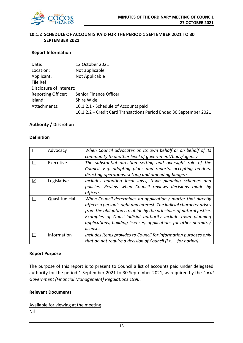

## **10.1.2 SCHEDULE OF ACCOUNTS PAID FOR THE PERIOD 1 SEPTEMBER 2021 TO 30 SEPTEMBER 2021**

## **Report Information**

| Date:                     | 12 October 2021                                                    |
|---------------------------|--------------------------------------------------------------------|
| Location:                 | Not applicable                                                     |
| Applicant:                | Not Applicable                                                     |
| File Ref:                 |                                                                    |
| Disclosure of Interest:   |                                                                    |
| <b>Reporting Officer:</b> | Senior Finance Officer                                             |
| Island:                   | Shire Wide                                                         |
| Attachments:              | 10.1.2.1 - Schedule of Accounts paid                               |
|                           | 10.1.2.2 - Credit Card Transactions Period Ended 30 September 2021 |

## **Authority / Discretion**

## **Definition**

|   | Advocacy       | When Council advocates on its own behalf or on behalf of its         |
|---|----------------|----------------------------------------------------------------------|
|   |                | community to another level of government/body/agency.                |
|   | Executive      | The substantial direction setting and oversight role of the          |
|   |                | Council. E.g. adopting plans and reports, accepting tenders,         |
|   |                | directing operations, setting and amending budgets.                  |
| ⊠ | Legislative    | Includes adopting local laws, town planning schemes and              |
|   |                | policies. Review when Council reviews decisions made by              |
|   |                | officers.                                                            |
|   | Quasi-Judicial | When Council determines an application / matter that directly        |
|   |                | affects a person's right and interest. The judicial character arises |
|   |                | from the obligations to abide by the principles of natural justice.  |
|   |                | Examples of Quasi-Judicial authority include town planning           |
|   |                | applications, building licenses, applications for other permits /    |
|   |                | licenses.                                                            |
|   |                |                                                                      |
|   | Information    | Includes items provides to Council for information purposes only     |

### **Report Purpose**

The purpose of this report is to present to Council a list of accounts paid under delegated authority for the period 1 September 2021 to 30 September 2021, as required by the *Local Government (Financial Management) Regulations 1996*.

## **Relevant Documents**

Available for viewing at the meeting Nil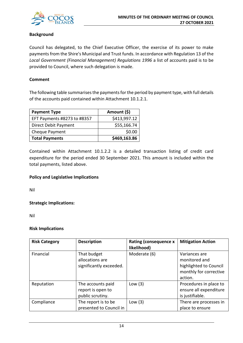

## **Background**

Council has delegated, to the Chief Executive Officer, the exercise of its power to make payments from the Shire's Municipal and Trust funds. In accordance with Regulation 13 of the *Local Government (Financial Management) Regulations 1996* a list of accounts paid is to be provided to Council, where such delegation is made.

## **Comment**

The following table summarises the payments for the period by payment type, with full details of the accounts paid contained within Attachment 10.1.2.1.

| <b>Payment Type</b>         | Amount (\$)  |
|-----------------------------|--------------|
| EFT Payments #8273 to #8357 | \$413,997.12 |
| Direct Debit Payment        | \$55,166.74  |
| Cheque Payment              | \$0.00       |
| <b>Total Payments</b>       | \$469,163.86 |

Contained within Attachment 10.1.2.2 is a detailed transaction listing of credit card expenditure for the period ended 30 September 2021. This amount is included within the total payments, listed above.

## **Policy and Legislative Implications**

Nil

**Strategic Implications:**

Nil

## **Risk Implications**

| <b>Risk Category</b> | <b>Description</b>                                         | <b>Rating (consequence x</b><br>likelihood) | <b>Mitigation Action</b>                                                                      |
|----------------------|------------------------------------------------------------|---------------------------------------------|-----------------------------------------------------------------------------------------------|
| Financial            | That budget<br>allocations are<br>significantly exceeded.  | Moderate (6)                                | Variances are<br>monitored and<br>highlighted to Council<br>monthly for corrective<br>action. |
| Reputation           | The accounts paid<br>report is open to<br>public scrutiny. | Low $(3)$                                   | Procedures in place to<br>ensure all expenditure<br>is justifiable.                           |
| Compliance           | The report is to be<br>presented to Council in             | Low $(3)$                                   | There are processes in<br>place to ensure                                                     |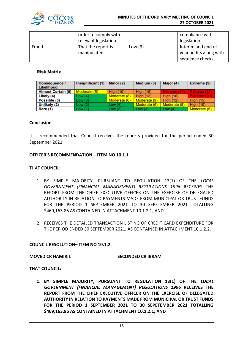

|       | order to comply with<br>relevant legislation. |           | compliance with<br>legislation.                                  |
|-------|-----------------------------------------------|-----------|------------------------------------------------------------------|
| Fraud | That the report is<br>manipulated.            | Low $(3)$ | Interim and end of<br>year audits along with<br>sequence checks. |

## **Risk Matrix**

| Consequence /<br>Likelihood | Insignificant (1) | Minor (2)        | Medium (3)       | Major (4)        | Extreme (5)      |
|-----------------------------|-------------------|------------------|------------------|------------------|------------------|
| <b>Almost Certain (5)</b>   | Moderate (5)      | <b>High (10)</b> | <b>High (15)</b> | Extreme (20)     | Extreme (25)     |
| Likely (4)                  | Low(4)            | Moderate (8)     | <b>High (12)</b> | <b>High (16)</b> | Extreme (20)     |
| Possible (3)                | Low(3)            | Moderate (6)     | Moderate (9)     | <b>High (12)</b> | <b>High (15)</b> |
| Unlikely (2)                | Low(2)            | Low $(4)$        | Moderate (6)     | Moderate (8)     | <b>High (10)</b> |
| <b>Rare (1)</b>             | Low(1)            | Low(2)           | Low $(3)$        | Low $(4)$        | Moderate (5)     |

## **Conclusion**

It is recommended that Council receives the reports provided for the period ended 30 September 2021.

## **OFFICER'S RECOMMENDATION – ITEM NO 10.1.1**

THAT COUNCIL:

- 1. BY SIMPLE MAJORITY, PURSUANT TO REGULATION 13(1) OF THE *LOCAL GOVERNMENT (FINANCIAL MANAGEMENT) REGULATIONS 1996* RECEIVES THE REPORT FROM THE CHIEF EXECUTIVE OFFICER ON THE EXERCISE OF DELEGATED AUTHORITY IN RELATION TO PAYMENTS MADE FROM MUNICIPAL OR TRUST FUNDS FOR THE PERIOD 1 SEPTEMBER 2021 TO 30 SEPETEMBER 2021 TOTALLING \$469,163.86 AS CONTAINED IN ATTACHMENT 10.1.2.1; AND
- 2. RECEIVES THE DETAILED TRANSACTION LISTING OF CREDIT CARD EXPENDITURE FOR THE PERIOD ENDED 30 SEPTEMBER 2021, AS CONTAINED IN ATTACHMENT 10.1.2.2.

### **COUNCIL RESOLUTION– ITEM NO 10.1.2**

### **MOVED CR HAMIRIL SECONDED CR IBRAM**

**THAT COUNCIL:**

**1. BY SIMPLE MAJORITY, PURSUANT TO REGULATION 13(1) OF THE** *LOCAL GOVERNMENT (FINANCIAL MANAGEMENT) REGULATIONS 1996* **RECEIVES THE REPORT FROM THE CHIEF EXECUTIVE OFFICER ON THE EXERCISE OF DELEGATED AUTHORITY IN RELATION TO PAYMENTS MADE FROM MUNICIPAL OR TRUST FUNDS FOR THE PERIOD 1 SEPTEMBER 2021 TO 30 SEPETEMBER 2021 TOTALLING \$469,163.86 AS CONTAINED IN ATTACHMENT 10.1.2.1; AND**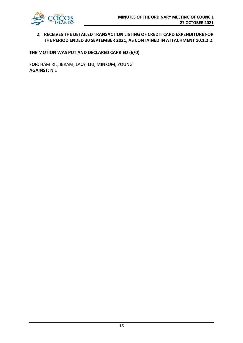

## **2. RECEIVES THE DETAILED TRANSACTION LISTING OF CREDIT CARD EXPENDITURE FOR THE PERIOD ENDED 30 SEPTEMBER 2021, AS CONTAINED IN ATTACHMENT 10.1.2.2.**

## **THE MOTION WAS PUT AND DECLARED CARRIED (6/0)**

**FOR:** HAMIRIL, IBRAM, LACY, LIU, MINKOM, YOUNG **AGAINST:** NIL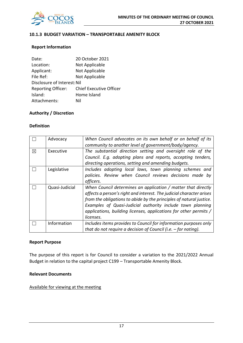

## **10.1.3 BUDGET VARIATION – TRANSPORTABLE AMENITY BLOCK**

## **Report Information**

| 20 October 2021                |
|--------------------------------|
| Not Applicable                 |
| Not Applicable                 |
| Not Applicable                 |
| Disclosure of Interest: Nil    |
| <b>Chief Executive Officer</b> |
| Home Island                    |
| Nil                            |
|                                |

## **Authority / Discretion**

## **Definition**

|             | Advocacy       | When Council advocates on its own behalf or on behalf of its<br>community to another level of government/body/agency.                                                                                                                                                                                                                                        |
|-------------|----------------|--------------------------------------------------------------------------------------------------------------------------------------------------------------------------------------------------------------------------------------------------------------------------------------------------------------------------------------------------------------|
| $\boxtimes$ | Executive      | The substantial direction setting and oversight role of the<br>Council. E.g. adopting plans and reports, accepting tenders,<br>directing operations, setting and amending budgets.                                                                                                                                                                           |
|             | Legislative    | Includes adopting local laws, town planning schemes and<br>policies. Review when Council reviews decisions made by<br>officers.                                                                                                                                                                                                                              |
|             | Quasi-Judicial | When Council determines an application / matter that directly<br>affects a person's right and interest. The judicial character arises<br>from the obligations to abide by the principles of natural justice.<br>Examples of Quasi-Judicial authority include town planning<br>applications, building licenses, applications for other permits /<br>licenses. |
|             | Information    | Includes items provides to Council for information purposes only<br>that do not require a decision of Council (i.e. $-$ for noting).                                                                                                                                                                                                                         |

### **Report Purpose**

The purpose of this report is for Council to consider a variation to the 2021/2022 Annual Budget in relation to the capital project C199 – Transportable Amenity Block.

## **Relevant Documents**

### Available for viewing at the meeting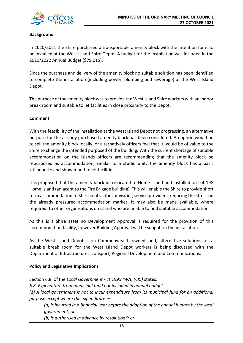

## **Background**

In 2020/2021 the Shire purchased a transportable amenity block with the intention for it to be installed at the West Island Shire Depot. A budget for the installation was included in the 2021/2022 Annual Budget (\$79,015).

Since the purchase and delivery of the amenity block no suitable solution has been identified to complete the installation (including power, plumbing and sewerage) at the West Island Depot.

The purpose of the amenity block was to provide the West Island Shire workers with an indoor break room and suitable toilet facilities in close proximity to the Depot.

## **Comment**

With the feasibility of the installation at the West Island Depot not progressing, an alternative purpose for the already purchased amenity block has been considered. An option would be to sell the amenity block locally, or alternatively officers feel that it would be of value to the Shire to change the intended purposed of the building. With the current shortage of suitable accommodation on the islands officers are recommending that the amenity block be repurposed as accommodation, similar to a studio unit. The amenity block has a basic kitchenette and shower and toilet facilities.

It is proposed that the amenity block be relocated to Home Island and installed on Lot 198 Home Island (adjacent to the Fire Brigade building). This will enable the Shire to provide short term accommodation to Shire contractors or visiting service providers, reducing the stress on the already pressured accommodation market. It may also be made available, where required, to other organisations on island who are unable to find suitable accommodation.

As this is a Shire asset no Development Approval is required for the provision of this accommodation facility, however Building Approval will be sought on the installation.

As the West Island Depot is on Commonwealth owned land, alternative solutions for a suitable break room for the West Island Depot workers is being discussed with the Department of Infrastructure, Transport, Regional Development and Communications.

## **Policy and Legislative Implications**

Section 6.8. of the *Local Government Act 1995 (WA) (CKI)* states: *6.8. Expenditure from municipal fund not included in annual budget (1) A local government is not to incur expenditure from its municipal fund for an additional purpose except where the expenditure —*

*(a) is incurred in a financial year before the adoption of the annual budget by the local government; or*

*(b) is authorised in advance by resolution\*; or*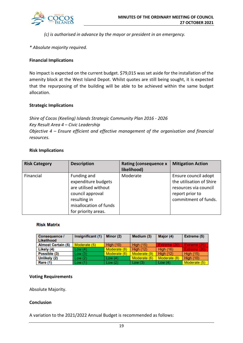*(c) is authorised in advance by the mayor or president in an emergency.* 

## *\* Absolute majority required.*

## **Financial Implications**

No impact is expected on the current budget. \$79,015 was set aside for the installation of the amenity block at the West Island Depot. Whilst quotes are still being sought, it is expected that the repurposing of the building will be able to be achieved within the same budget allocation.

## **Strategic Implications**

*Shire of Cocos (Keeling) Islands Strategic Community Plan 2016 - 2026 Key Result Area 4 – Civic Leadership Objective 4 – Ensure efficient and effective management of the organisation and financial resources.*

## **Risk Implications**

| <b>Risk Category</b> | <b>Description</b>                                                                                                                              | <b>Rating (consequence x</b><br>likelihood) | <b>Mitigation Action</b>                                                                                             |
|----------------------|-------------------------------------------------------------------------------------------------------------------------------------------------|---------------------------------------------|----------------------------------------------------------------------------------------------------------------------|
| Financial            | Funding and<br>expenditure budgets<br>are utilised without<br>council approval<br>resulting in<br>misallocation of funds<br>for priority areas. | Moderate                                    | Ensure council adopt<br>the utilisation of Shire<br>resources via council<br>report prior to<br>commitment of funds. |

## **Risk Matrix**

| <b>Consequence /</b><br>Likelihood | Insignificant (1) | Minor (2)        | Medium (3)       | Major (4)        | Extreme (5)         |
|------------------------------------|-------------------|------------------|------------------|------------------|---------------------|
| <b>Almost Certain (5)</b>          | Moderate (5)      | <b>High (10)</b> | <b>High (15)</b> | Extreme (20)     | <b>Extreme (25)</b> |
| Likely (4)                         | Low (4)           | Moderate (8)     | <b>High (12)</b> | <b>High (16)</b> | Extreme (20)        |
| Possible (3)                       | Low(3)            | Moderate (6)     | Moderate (9)     | <b>High (12)</b> | <b>High (15)</b>    |
| Unlikely (2)                       | Low (2)           | Low $(4)$        | Moderate (6)     | Moderate (8)     | <b>High (10)</b>    |
| Rare (1)                           | Low (1)           | Low $(2)$        | Low $(3)$        | Low $(4)$        | Moderate (5)        |

## **Voting Requirements**

Absolute Majority.

## **Conclusion**

A variation to the 2021/2022 Annual Budget is recommended as follows: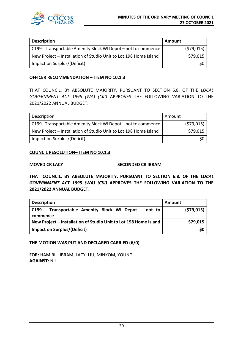

| <b>Description</b>                                               | Amount     |
|------------------------------------------------------------------|------------|
| C199 - Transportable Amenity Block WI Depot - not to commence    | (579, 015) |
| New Project - Installation of Studio Unit to Lot 198 Home Island | \$79,015   |
| Impact on Surplus/(Deficit)                                      |            |

## **OFFICER RECOMMENDATION – ITEM NO 10.1.3**

THAT COUNCIL, BY ABSOLUTE MAJORITY, PURSUANT TO SECTION 6.8. OF THE *LOCAL GOVERNMENT ACT 1995 (WA) (CKI)* APPROVES THE FOLLOWING VARIATION TO THE 2021/2022 ANNUAL BUDGET:

| Description                                                      | Amount |            |
|------------------------------------------------------------------|--------|------------|
| C199 - Transportable Amenity Block WI Depot - not to commence    |        | (579, 015) |
| New Project - Installation of Studio Unit to Lot 198 Home Island |        | \$79,015   |
| Impact on Surplus/(Deficit)                                      |        | \$0        |

## **COUNCIL RESOLUTION– ITEM NO 10.1.3**

## **MOVED CR LACY SECONDED CR IBRAM**

**THAT COUNCIL, BY ABSOLUTE MAJORITY, PURSUANT TO SECTION 6.8. OF THE** *LOCAL GOVERNMENT ACT 1995 (WA) (CKI)* **APPROVES THE FOLLOWING VARIATION TO THE 2021/2022 ANNUAL BUDGET:**

| Description                                                      | Amount     |
|------------------------------------------------------------------|------------|
| C199 - Transportable Amenity Block WI Depot – not to             | (579, 015) |
| commence                                                         |            |
| New Project – Installation of Studio Unit to Lot 198 Home Island | \$79,015   |
| Impact on Surplus/(Deficit)                                      | \$0        |

## **THE MOTION WAS PUT AND DECLARED CARRIED (6/0)**

**FOR:** HAMIRIL, IBRAM, LACY, LIU, MINKOM, YOUNG **AGAINST:** NIL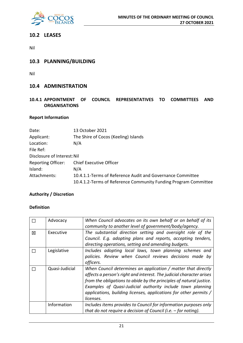

## **10.2 LEASES**

Nil

## **10.3 PLANNING/BUILDING**

Nil

## **10.4 ADMINISTRATION**

## **10.4.1 APPOINTMENT OF COUNCIL REPRESENTATIVES TO COMMITTEES AND ORGANISATIONS**

## **Report Information**

| Date:                       | 13 October 2021                                                 |
|-----------------------------|-----------------------------------------------------------------|
| Applicant:                  | The Shire of Cocos (Keeling) Islands                            |
| Location:                   | N/A                                                             |
| File Ref:                   |                                                                 |
| Disclosure of Interest: Nil |                                                                 |
| <b>Reporting Officer:</b>   | <b>Chief Executive Officer</b>                                  |
| Island:                     | N/A                                                             |
| Attachments:                | 10.4.1.1-Terms of Reference Audit and Governance Committee      |
|                             | 10.4.1.2-Terms of Reference Community Funding Program Committee |

## **Authority / Discretion**

## **Definition**

|   | Advocacy       | When Council advocates on its own behalf or on behalf of its<br>community to another level of government/body/agency.                                                                                                                                                                                                                                        |
|---|----------------|--------------------------------------------------------------------------------------------------------------------------------------------------------------------------------------------------------------------------------------------------------------------------------------------------------------------------------------------------------------|
| 冈 | Executive      | The substantial direction setting and oversight role of the<br>Council. E.g. adopting plans and reports, accepting tenders,<br>directing operations, setting and amending budgets.                                                                                                                                                                           |
|   | Legislative    | Includes adopting local laws, town planning schemes and<br>policies. Review when Council reviews decisions made by<br>officers.                                                                                                                                                                                                                              |
|   | Quasi-Judicial | When Council determines an application / matter that directly<br>affects a person's right and interest. The judicial character arises<br>from the obligations to abide by the principles of natural justice.<br>Examples of Quasi-Judicial authority include town planning<br>applications, building licenses, applications for other permits /<br>licenses. |
|   | Information    | Includes items provides to Council for information purposes only<br>that do not require a decision of Council (i.e. $-$ for noting).                                                                                                                                                                                                                         |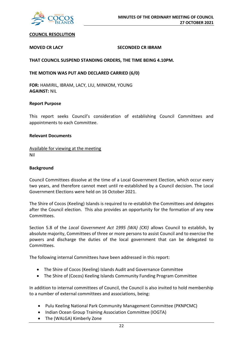

## **COUNCIL RESOLUTION**

## **MOVED CR LACY SECONDED CR IBRAM**

**THAT COUNCIL SUSPEND STANDING ORDERS, THE TIME BEING 4.10PM.**

**THE MOTION WAS PUT AND DECLARED CARRIED (6/0)**

**FOR:** HAMIRIL, IBRAM, LACY, LIU, MINKOM, YOUNG **AGAINST:** NIL

### **Report Purpose**

This report seeks Council's consideration of establishing Council Committees and appointments to each Committee.

## **Relevant Documents**

Available for viewing at the meeting Nil

## **Background**

Council Committees dissolve at the time of a Local Government Election, which occur every two years, and therefore cannot meet until re-established by a Council decision. The Local Government Elections were held on 16 October 2021.

The Shire of Cocos (Keeling) Islands is required to re-establish the Committees and delegates after the Council election. This also provides an opportunity for the formation of any new Committees.

Section 5.8 of the *Local Government Act 1995 (WA) (CKI)* allows Council to establish, by absolute majority, Committees of three or more persons to assist Council and to exercise the powers and discharge the duties of the local government that can be delegated to Committees.

The following internal Committees have been addressed in this report:

- The Shire of Cocos (Keeling) Islands Audit and Governance Committee
- The Shire of (Cocos) Keeling Islands Community Funding Program Committee

In addition to internal committees of Council, the Council is also invited to hold membership to a number of external committees and associations, being:

- Pulu Keeling National Park Community Management Committee (PKNPCMC)
- Indian Ocean Group Training Association Committee (IOGTA)
- The (WALGA) Kimberly Zone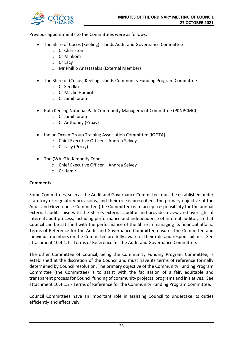

Previous appointments to the Committees were as follows:

- The Shire of Cocos (Keeling) Islands Audit and Governance Committee
	- o Cr Charlston
	- o Cr Minkom
	- o Cr Lacy
	- o Mr Phillip Anastasakis (External Member)
- The Shire of (Cocos) Keeling Islands Community Funding Program Committee
	- o Cr Seri Iku
	- o Cr Mazlin Hamiril
	- o Cr Jamil Ibram
- Pulu Keeling National Park Community Management Committee (PKNPCMC)
	- o Cr Jamil Ibram
	- o Cr Anthoney (Proxy)
- Indian Ocean Group Training Association Committee (IOGTA)
	- o Chief Executive Officer Andrea Selvey
	- o Cr Lacy (Proxy)
- The (WALGA) Kimberly Zone
	- o Chief Executive Officer Andrea Selvey
	- o Cr Hamiril

## **Comments**

Some Committees, such as the Audit and Governance Committee, must be established under statutory or regulatory provisions, and their role is prescribed. The primary objective of the Audit and Governance Committee (the Committee) is to accept responsibility for the annual external audit, liaise with the Shire's external auditor and provide review and oversight of internal audit process, including performance and independence of internal auditor, so that Council can be satisfied with the performance of the Shire in managing its financial affairs. Terms of Reference for the Audit and Governance Committee ensures the Committee and individual members on the Committee are fully aware of their role and responsibilities. See attachment 10.4.1.1 - Terms of Reference for the Audit and Governance Committee.

The other Committee of Council, being the Community Funding Program Committee, is established at the discretion of the Council and must have its terms of reference formally determined by Council resolution. The primary objective of the Community Funding Program Committee (the Committee) is to assist with the facilitation of a fair, equitable and transparent process for Council funding of community projects, programs and initiatives. See attachment 10.4.1.2 - Terms of Reference for the Community Funding Program Committee.

Council Committees have an important role in assisting Council to undertake its duties efficiently and effectively.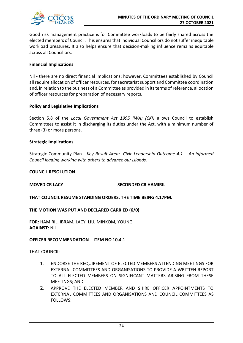

Good risk management practice is for Committee workloads to be fairly shared across the elected members of Council. This ensures that individual Councillors do not suffer inequitable workload pressures. It also helps ensure that decision-making influence remains equitable across all Councillors.

## **Financial Implications**

Nil - there are no direct financial implications; however, Committees established by Council all require allocation of officer resources, for secretariat support and Committee coordination and, in relation to the business of a Committee as provided in its terms of reference, allocation of officer resources for preparation of necessary reports.

## **Policy and Legislative Implications**

Section 5.8 of the *Local Government Act 1995 (WA) (CKI)* allows Council to establish Committees to assist it in discharging its duties under the Act, with a minimum number of three (3) or more persons.

## **Strategic Implications**

Strategic Community Plan - *Key Result Area: Civic Leadership Outcome 4.1 – An informed Council leading working with others to advance our Islands.*

## **COUNCIL RESOLUTION**

## **MOVED CR LACY SECONDED CR HAMIRIL**

**THAT COUNCIL RESUME STANDING ORDERS, THE TIME BEING 4.17PM.**

## **THE MOTION WAS PUT AND DECLARED CARRIED (6/0)**

**FOR:** HAMIRIL, IBRAM, LACY, LIU, MINKOM, YOUNG **AGAINST:** NIL

## **OFFICER RECOMMENDATION – ITEM NO 10.4.1**

THAT COUNCIL:

- 1. ENDORSE THE REQUIREMENT OF ELECTED MEMBERS ATTENDING MEETINGS FOR EXTERNAL COMMITTEES AND ORGANISATIONS TO PROVIDE A WRITTEN REPORT TO ALL ELECTED MEMBERS ON SIGNIFICANT MATTERS ARISING FROM THESE MEETINGS; AND
- 2. APPROVE THE ELECTED MEMBER AND SHIRE OFFICER APPOINTMENTS TO EXTERNAL COMMITTEES AND ORGANISATIONS AND COUNCIL COMMITTEES AS FOLLOWS: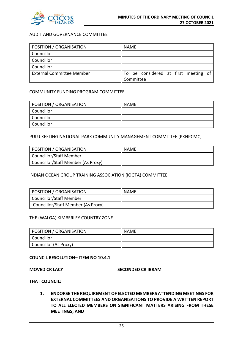

## AUDIT AND GOVERNANCE COMMITTEE

| POSITION / ORGANISATION          | <b>NAME</b>                          |
|----------------------------------|--------------------------------------|
| Councillor                       |                                      |
| Councillor                       |                                      |
| Councillor                       |                                      |
| <b>External Committee Member</b> | To be considered at first meeting of |
|                                  | Committee                            |

## COMMUNITY FUNDING PROGRAM COMMITTEE

| POSITION / ORGANISATION | NAME |
|-------------------------|------|
| Councillor              |      |
| Councillor              |      |
| Councillor              |      |

## PULU KEELING NATIONAL PARK COMMUNITY MANAGEMENT COMMITTEE (PKNPCMC)

| POSITION / ORGANISATION            | <b>NAME</b> |
|------------------------------------|-------------|
| Councillor/Staff Member            |             |
| Councillor/Staff Member (As Proxy) |             |

## INDIAN OCEAN GROUP TRAINING ASSOCIATION (IOGTA) COMMITTEE

| POSITION / ORGANISATION            | <b>NAME</b> |
|------------------------------------|-------------|
| Councillor/Staff Member            |             |
| Councillor/Staff Member (As Proxy) |             |

### THE (WALGA) KIMBERLEY COUNTRY ZONE

| POSITION / ORGANISATION | <b>NAME</b> |
|-------------------------|-------------|
| Councillor              |             |
| Councillor (As Proxy)   |             |

### **COUNCIL RESOLUTION– ITEM NO 10.4.1**

**MOVED CR LACY SECONDED CR IBRAM**

**THAT COUNCIL:**

**1. ENDORSE THE REQUIREMENT OF ELECTED MEMBERS ATTENDING MEETINGS FOR EXTERNAL COMMITTEES AND ORGANISATIONS TO PROVIDE A WRITTEN REPORT TO ALL ELECTED MEMBERS ON SIGNIFICANT MATTERS ARISING FROM THESE MEETINGS; AND**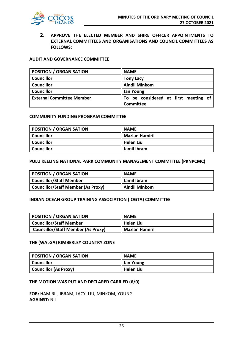

**2. APPROVE THE ELECTED MEMBER AND SHIRE OFFICER APPOINTMENTS TO EXTERNAL COMMITTEES AND ORGANISATIONS AND COUNCIL COMMITTEES AS FOLLOWS:**

## **AUDIT AND GOVERNANCE COMMITTEE**

| <b>POSITION / ORGANISATION</b>   | <b>NAME</b>                                       |
|----------------------------------|---------------------------------------------------|
| <b>Councillor</b>                | <b>Tony Lacy</b>                                  |
| <b>Councillor</b>                | <b>Aindil Minkom</b>                              |
| <b>Councillor</b>                | <b>Jan Young</b>                                  |
| <b>External Committee Member</b> | To be considered at first meeting of<br>Committee |

### **COMMUNITY FUNDING PROGRAM COMMITTEE**

| POSITION / ORGANISATION | <b>NAME</b>           |
|-------------------------|-----------------------|
| <b>Councillor</b>       | <b>Mazlan Hamiril</b> |
| <b>Councillor</b>       | l Helen Liu           |
| <b>Councillor</b>       | Jamil Ibram           |

#### **PULU KEELING NATIONAL PARK COMMUNITY MANAGEMENT COMMITTEE (PKNPCMC)**

| POSITION / ORGANISATION                   | <b>NAME</b>        |
|-------------------------------------------|--------------------|
| <b>Councillor/Staff Member</b>            | Jamil Ibram        |
| <b>Councillor/Staff Member (As Proxy)</b> | $\ $ Aindil Minkom |

## **INDIAN OCEAN GROUP TRAINING ASSOCIATION (IOGTA) COMMITTEE**

| POSITION / ORGANISATION                   | <b>NAME</b>    |
|-------------------------------------------|----------------|
| <b>Councillor/Staff Member</b>            | ∥ Helen Liu    |
| <b>Councillor/Staff Member (As Proxy)</b> | Mazlan Hamiril |

### **THE (WALGA) KIMBERLEY COUNTRY ZONE**

| <b>POSITION / ORGANISATION</b> | <b>NAME</b> |
|--------------------------------|-------------|
| <b>Councillor</b>              | Jan Young   |
| Councillor (As Proxy)          | Helen Liu   |

### **THE MOTION WAS PUT AND DECLARED CARRIED (6/0)**

**FOR:** HAMIRIL, IBRAM, LACY, LIU, MINKOM, YOUNG **AGAINST:** NIL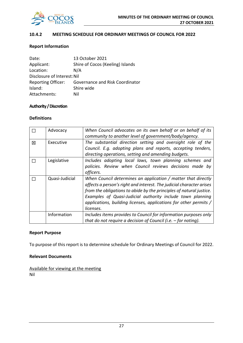

## **10.4.2 MEETING SCHEDULE FOR ORDINARY MEETINGS OF COUNCIL FOR 2022**

## **Report Information**

| Date:                       | 13 October 2021                        |  |
|-----------------------------|----------------------------------------|--|
| Applicant:                  | Shire of Cocos (Keeling) Islands       |  |
| Location:                   | N/A                                    |  |
| Disclosure of Interest: Nil |                                        |  |
| <b>Reporting Officer:</b>   | <b>Governance and Risk Coordinator</b> |  |
| Island:                     | Shire wide                             |  |
| Attachments:                | Nil                                    |  |

## **Authority / Discretion**

## **Definitions**

|   | Advocacy       | When Council advocates on its own behalf or on behalf of its<br>community to another level of government/body/agency.                                                                                                                                                                                                                                        |
|---|----------------|--------------------------------------------------------------------------------------------------------------------------------------------------------------------------------------------------------------------------------------------------------------------------------------------------------------------------------------------------------------|
| 冈 | Executive      | The substantial direction setting and oversight role of the<br>Council. E.g. adopting plans and reports, accepting tenders,<br>directing operations, setting and amending budgets.                                                                                                                                                                           |
|   | Legislative    | Includes adopting local laws, town planning schemes and<br>policies. Review when Council reviews decisions made by<br>officers.                                                                                                                                                                                                                              |
|   | Quasi-Judicial | When Council determines an application / matter that directly<br>affects a person's right and interest. The judicial character arises<br>from the obligations to abide by the principles of natural justice.<br>Examples of Quasi-Judicial authority include town planning<br>applications, building licenses, applications for other permits /<br>licenses. |
|   | Information    | Includes items provides to Council for information purposes only<br>that do not require a decision of Council (i.e. $-$ for noting).                                                                                                                                                                                                                         |

## **Report Purpose**

To purpose of this report is to determine schedule for Ordinary Meetings of Council for 2022.

## **Relevant Documents**

Available for viewing at the meeting Nil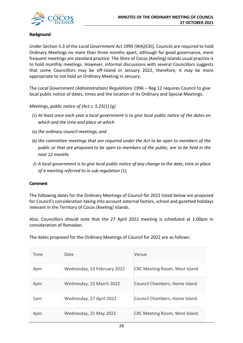

## **Background**

Under Section 5.3 of the *Local Government Act 1995 (WA)(CKI)*, Councils are required to hold Ordinary Meetings no more than three months apart, although for good governance, more frequent meetings are standard practice. The Shire of Cocos (Keeling) Islands usual practice is to hold monthly meetings. However, informal discussions with several Councillors suggests that some Councillors may be off-Island in January 2022, therefore, it may be more appropriate to not hold an Ordinary Meeting in January.

The *Local Government (Administration) Regulations 1996* – Reg 12 requires Council to give local public notice of dates, times and the location of its Ordinary and Special Meetings.

*Meetings, public notice of (Act s. 5.25(1) (g)*

- *(1) At least once each year a local government is to give local public notice of the dates on which and the time and place at which*
- *(a) the ordinary council meetings; and*
- *(b) the committee meetings that are required under the Act to be open to members of the public or that are proposed to be open to members of the public, are to be held in the next 12 months*
- *2) A local government is to give local public notice of any change to the date, time or place of a meeting referred to in sub regulation (1).*

## **Comment**

The following dates for the Ordinary Meetings of Council for 2022 listed below are proposed for Council's consideration taking into account external factors, school and gazetted holidays relevant in the Territory of Cocos (Keeling) Islands.

Also, Councillors should note that the 27 April 2022 meeting is scheduled at 1.00pm in consideration of Ramadan.

The dates proposed for the Ordinary Meetings of Council for 2022 are as follows:

| Time | Date                        | Venue                                |
|------|-----------------------------|--------------------------------------|
| 4pm  | Wednesday, 23 February 2022 | <b>CRC Meeting Room, West Island</b> |
| 4pm  | Wednesday, 23 March 2022    | Council Chambers, Home Island        |
| 1pm  | Wednesday, 27 April 2022    | Council Chambers, Home Island        |
| 4pm  | Wednesday, 25 May 2022      | <b>CRC Meeting Room, West Island</b> |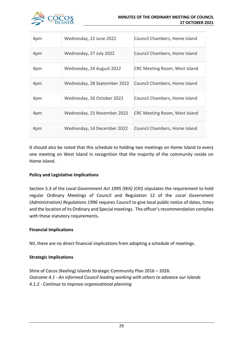

| 4pm | Wednesday, 22 June 2022      | Council Chambers, Home Island        |
|-----|------------------------------|--------------------------------------|
| 4pm | Wednesday, 27 July 2022      | Council Chambers, Home Island        |
| 4pm | Wednesday, 24 August 2022    | <b>CRC Meeting Room, West Island</b> |
| 4pm | Wednesday, 28 September 2022 | Council Chambers, Home Island        |
| 4pm | Wednesday, 26 October 2022   | Council Chambers, Home Island        |
| 4pm | Wednesday, 23 November 2022  | <b>CRC Meeting Room, West Island</b> |
| 4pm | Wednesday, 14 December 2022  | Council Chambers, Home Island        |

It should also be noted that this schedule to holding two meetings on Home Island to every one meeting on West Island in recognition that the majority of the community reside on Home Island.

## **Policy and Legislative Implications**

Section 5.3 of the *Local Government Act 1995 (WA) (CKI)* stipulates the requirement to hold regular Ordinary Meetings of Council and Regulation 12 of the *Local Government (Administration) Regulations 1996* requires Council to give local public notice of dates, times and the location of its Ordinary and Special meetings. The officer's recommendation complies with these statutory requirements.

## **Financial Implications**

Nil, there are no direct financial implications from adopting a schedule of meetings.

## **Strategic Implications**

Shire of Cocos (Keeling) Islands Strategic Community Plan 2016 – 2026: *Outcome 4.1 - An informed Council leading working with others to advance our Islands 4.1.2 - Continue to improve organisational planning*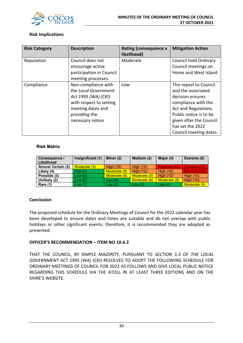

## **Risk Implications**

| <b>Risk Category</b> | <b>Description</b>                                                                                                                                      | <b>Rating (consequence x</b><br>likelihood) | <b>Mitigation Action</b>                                                                                                                                                                                           |
|----------------------|---------------------------------------------------------------------------------------------------------------------------------------------------------|---------------------------------------------|--------------------------------------------------------------------------------------------------------------------------------------------------------------------------------------------------------------------|
| Reputation           | Council does not<br>encourage active<br>participation in Council<br>meeting processes.                                                                  | Moderate                                    | Council hold Ordinary<br>Council meetings on<br>Home and West Island                                                                                                                                               |
| Compliance           | Non-compliance with<br>the Local Government<br>Act 1995 (WA) (CKI)<br>with respect to setting<br>meeting dates and<br>providing the<br>necessary notice | Low                                         | This report to Council<br>and the associated<br>decision ensures<br>compliance with the<br>Act and Regulations.<br>Public notice is to be<br>given after the Council<br>has set the 2022<br>Council meeting dates. |

## **Risk Matrix**

| <b>Consequence /</b><br>Likelihood | Insignificant (1) | Minor (2)        | Medium (3)       | Major (4)        | <b>Extreme (5)</b> |
|------------------------------------|-------------------|------------------|------------------|------------------|--------------------|
| <b>Almost Certain (5)</b>          | Moderate (5)      | <b>High (10)</b> | <b>High (15)</b> | Extreme (20)     | Extreme (25)       |
| Likely (4)                         | Low(4)            | Moderate (8)     | <b>High (12)</b> | <b>High (16)</b> | Extreme (20)       |
| Possible (3)                       | Low(3)            | Moderate (6)     | Moderate (9)     | <b>High (12)</b> | <b>High (15)</b>   |
| Unlikely (2)                       | Low(2)            | Low $(4)$        | Moderate (6)     | Moderate (8)     | <b>High (10)</b>   |
| Rare (1)                           | Low(1)            | Low $(2)$        | Low(3)           | Low $(4)$        | Moderate (5)       |

## **Conclusion**

The proposed schedule for the Ordinary Meetings of Council for the 2022 calendar year has been developed to ensure dates and times are suitable and do not overlap with public holidays or other significant events; therefore, it is recommended they are adopted as presented.

## **OFFICER'S RECOMMENDATION – ITEM NO 10.4.2**

THAT THE COUNCIL, BY SIMPLE MAJORITY, PURSUANT TO *SECTION 5.3 OF THE LOCAL GOVERNMENT ACT 1995 (WA) (CKI)* RESOLVES TO ADOPT THE FOLLOWING SCHEDULE FOR ORDINARY MEETINGS OF COUNCIL FOR 2022 AS FOLLOWS AND GIVE LOCAL PUBLIC NOTICE REGARDING THIS SCHEDULE VIA THE ATOLL IN AT LEAST THREE EDITIONS AND ON THE SHIRE'S WEBSITE.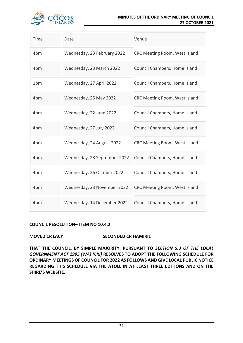

### **MINUTES OF THE ORDINARY MEETING OF COUNCIL 27 OCTOBER 2021**

| Time | Date                         | Venue                                |
|------|------------------------------|--------------------------------------|
| 4pm  | Wednesday, 23 February 2022  | <b>CRC Meeting Room, West Island</b> |
| 4pm  | Wednesday, 23 March 2022     | Council Chambers, Home Island        |
| 1pm  | Wednesday, 27 April 2022     | Council Chambers, Home Island        |
| 4pm  | Wednesday, 25 May 2022       | <b>CRC Meeting Room, West Island</b> |
| 4pm  | Wednesday, 22 June 2022      | Council Chambers, Home Island        |
| 4pm  | Wednesday, 27 July 2022      | Council Chambers, Home Island        |
| 4pm  | Wednesday, 24 August 2022    | <b>CRC Meeting Room, West Island</b> |
| 4pm  | Wednesday, 28 September 2022 | Council Chambers, Home Island        |
| 4pm  | Wednesday, 26 October 2022   | Council Chambers, Home Island        |
| 4pm  | Wednesday, 23 November 2022  | <b>CRC Meeting Room, West Island</b> |
| 4pm  | Wednesday, 14 December 2022  | Council Chambers, Home Island        |

## **COUNCIL RESOLUTION– ITEM NO 10.4.2**

## **MOVED CR LACY SECONDED CR HAMIRIL**

**THAT THE COUNCIL, BY SIMPLE MAJORITY, PURSUANT TO** *SECTION 5.3 OF THE LOCAL GOVERNMENT ACT 1995 (WA) (CKI)* **RESOLVES TO ADOPT THE FOLLOWING SCHEDULE FOR ORDINARY MEETINGS OF COUNCIL FOR 2022 AS FOLLOWS AND GIVE LOCAL PUBLIC NOTICE REGARDING THIS SCHEDULE VIA THE ATOLL IN AT LEAST THREE EDITIONS AND ON THE SHIRE'S WEBSITE.**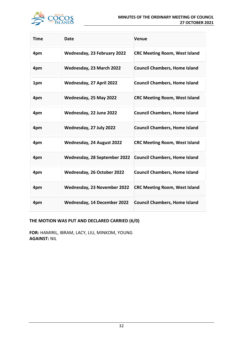

| <b>Time</b> | Date                         | Venue                                |
|-------------|------------------------------|--------------------------------------|
| 4pm         | Wednesday, 23 February 2022  | <b>CRC Meeting Room, West Island</b> |
| 4pm         | Wednesday, 23 March 2022     | <b>Council Chambers, Home Island</b> |
| 1pm         | Wednesday, 27 April 2022     | <b>Council Chambers, Home Island</b> |
| 4pm         | Wednesday, 25 May 2022       | <b>CRC Meeting Room, West Island</b> |
| 4pm         | Wednesday, 22 June 2022      | <b>Council Chambers, Home Island</b> |
| 4pm         | Wednesday, 27 July 2022      | <b>Council Chambers, Home Island</b> |
| 4pm         | Wednesday, 24 August 2022    | <b>CRC Meeting Room, West Island</b> |
| 4pm         | Wednesday, 28 September 2022 | <b>Council Chambers, Home Island</b> |
| 4pm         | Wednesday, 26 October 2022   | <b>Council Chambers, Home Island</b> |
| 4pm         | Wednesday, 23 November 2022  | <b>CRC Meeting Room, West Island</b> |
| 4pm         | Wednesday, 14 December 2022  | <b>Council Chambers, Home Island</b> |

## **THE MOTION WAS PUT AND DECLARED CARRIED (6/0)**

**FOR:** HAMIRIL, IBRAM, LACY, LIU, MINKOM, YOUNG **AGAINST:** NIL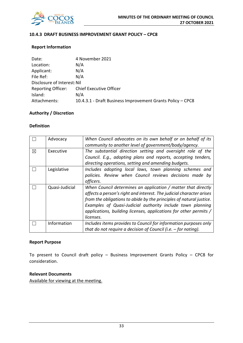

## **10.4.3 DRAFT BUSINESS IMPROVEMENT GRANT POLICY – CPC8**

## **Report Information**

| Date:                       | 4 November 2021                                            |
|-----------------------------|------------------------------------------------------------|
| Location:                   | N/A                                                        |
| Applicant:                  | N/A                                                        |
| File Ref:                   | N/A                                                        |
| Disclosure of Interest: Nil |                                                            |
| <b>Reporting Officer:</b>   | <b>Chief Executive Officer</b>                             |
| Island:                     | N/A                                                        |
| Attachments:                | 10.4.3.1 - Draft Business Improvement Grants Policy - CPC8 |

## **Authority / Discretion**

## **Definition**

|   | Advocacy       | When Council advocates on its own behalf or on behalf of its<br>community to another level of government/body/agency.                                                                                                                                                                                                                                        |
|---|----------------|--------------------------------------------------------------------------------------------------------------------------------------------------------------------------------------------------------------------------------------------------------------------------------------------------------------------------------------------------------------|
| ⊠ | Executive      | The substantial direction setting and oversight role of the<br>Council. E.g., adopting plans and reports, accepting tenders,<br>directing operations, setting and amending budgets.                                                                                                                                                                          |
|   | Legislative    | Includes adopting local laws, town planning schemes and<br>policies. Review when Council reviews decisions made by<br>officers.                                                                                                                                                                                                                              |
|   | Quasi-Judicial | When Council determines an application / matter that directly<br>affects a person's right and interest. The judicial character arises<br>from the obligations to abide by the principles of natural justice.<br>Examples of Quasi-Judicial authority include town planning<br>applications, building licenses, applications for other permits /<br>licenses. |
|   | Information    | Includes items provides to Council for information purposes only<br>that do not require a decision of Council (i.e. $-$ for noting).                                                                                                                                                                                                                         |

### **Report Purpose**

To present to Council draft policy – Business Improvement Grants Policy – CPC8 for consideration.

## **Relevant Documents**

Available for viewing at the meeting.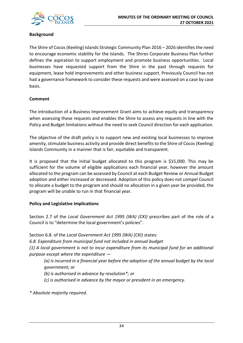

## **Background**

The Shire of Cocos (Keeling) Islands Strategic Community Plan 2016 – 2026 identifies the need to encourage economic stability for the Islands. The Shires Corporate Business Plan further defines the aspiration to support employment and promote business opportunities. Local businesses have requested support from the Shire in the past through requests for equipment, lease hold improvements and other business support. Previously Council has not had a governance framework to consider these requests and were assessed on a case by case basis.

## **Comment**

The introduction of a Business Improvement Grant aims to achieve equity and transparency when assessing these requests and enables the Shire to assess any requests in line with the Policy and Budget limitations without the need to seek Council direction for each application.

The objective of the draft policy is to support new and existing local businesses to improve amenity, stimulate business activity and provide direct benefits to the Shire of Cocos (Keeling) Islands Community in a manner that is fair, equitable and transparent.

It is proposed that the initial budget allocated to this program is \$15,000. This may be sufficient for the volume of eligible applications each financial year, however the amount allocated to the program can be assessed by Council at each Budget Review or Annual Budget adoption and either increased or decreased. Adoption of this policy does not compel Council to allocate a budget to the program and should no allocation in a given year be provided, the program will be unable to run in that financial year.

## **Policy and Legislative Implications**

Section 2.7 of the *Local Government Act 1995 (WA) (CKI)* prescribes part of the role of a Council is to "determine the local government's policies".

Section 6.8. of the *Local Government Act 1995 (WA) (CKI)* states:

*6.8. Expenditure from municipal fund not included in annual budget*

*(1) A local government is not to incur expenditure from its municipal fund for an additional purpose except where the expenditure —*

*(a) is incurred in a financial year before the adoption of the annual budget by the local government; or*

*(b) is authorised in advance by resolution\*; or* 

*(c) is authorised in advance by the mayor or president in an emergency.* 

*\* Absolute majority required.*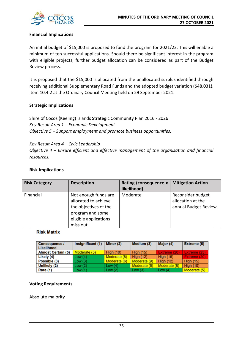

## **Financial Implications**

An initial budget of \$15,000 is proposed to fund the program for 2021/22. This will enable a minimum of ten successful applications. Should there be significant interest in the program with eligible projects, further budget allocation can be considered as part of the Budget Review process.

It is proposed that the \$15,000 is allocated from the unallocated surplus identified through receiving additional Supplementary Road Funds and the adopted budget variation (\$48,031), Item 10.4.2 at the Ordinary Council Meeting held on 29 September 2021.

## **Strategic Implications**

Shire of Cocos (Keeling) Islands Strategic Community Plan 2016 - 2026 *Key Result Area 1 – Economic Development Objective 5 – Support employment and promote business opportunities.*

*Key Result Area 4 – Civic Leadership Objective 4 – Ensure efficient and effective management of the organisation and financial resources.*

## **Risk Implications**

| <b>Risk Category</b> | <b>Description</b>                                                                                                              | Rating (consequence x<br>likelihood) | <b>Mitigation Action</b>                                        |
|----------------------|---------------------------------------------------------------------------------------------------------------------------------|--------------------------------------|-----------------------------------------------------------------|
| Financial            | Not enough funds are<br>allocated to achieve<br>the objectives of the<br>program and some<br>eligible applications<br>miss out. | Moderate                             | Reconsider budget<br>allocation at the<br>annual Budget Review. |

## **Risk Matrix**

| <b>Consequence /</b><br>Likelihood | Insignificant (1) | Minor (2)        | Medium (3)       | Major (4)        | Extreme (5)      |
|------------------------------------|-------------------|------------------|------------------|------------------|------------------|
| <b>Almost Certain (5)</b>          | Moderate (5)      | <b>High (10)</b> | <b>High (15)</b> | Extreme (20)     | Extreme (25)     |
| Likely (4)                         | Low(4)            | Moderate (8)     | <b>High (12)</b> | <b>High (16)</b> | Extreme (20)     |
| Possible (3)                       | Low(3)            | Moderate (6)     | Moderate (9)     | <b>High (12)</b> | <b>High (15)</b> |
| Unlikely (2)                       | Low(2)            | Low (4)          | Moderate (6)     | Moderate (8)     | High $(10)$      |
| Rare (1)                           | Low(1)            | Low(2)           | Low(3)           | Low $(4)$        | Moderate (5)     |

## **Voting Requirements**

Absolute majority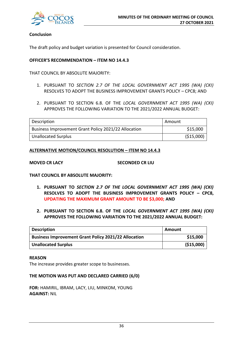

## **Conclusion**

The draft policy and budget variation is presented for Council consideration.

## **OFFICER'S RECOMMENDATION – ITEM NO 14.4.3**

THAT COUNCIL BY ABSOLUTE MAJORITY:

- 1. PURSUANT TO *SECTION 2.7 OF THE LOCAL GOVERNMENT ACT 1995 (WA) (CKI)* RESOLVES TO ADOPT THE BUSINESS IMPROVEMENT GRANTS POLICY – CPC8; AND
- 2. PURSUANT TO SECTION 6.8. OF THE *LOCAL GOVERNMENT ACT 1995 (WA) (CKI)* APPROVES THE FOLLOWING VARIATION TO THE 2021/2022 ANNUAL BUDGET:

| Description                                          | Amount      |
|------------------------------------------------------|-------------|
| Business Improvement Grant Policy 2021/22 Allocation | \$15,000    |
| <b>Unallocated Surplus</b>                           | ( \$15,000) |

## **ALTERNATIVE MOTION/COUNCIL RESOLUTION – ITEM NO 14.4.3**

**MOVED CR LACY SECONDED CR LIU**

**THAT COUNCIL BY ABSOLUTE MAJORITY:**

- **1. PURSUANT TO** *SECTION 2.7 OF THE LOCAL GOVERNMENT ACT 1995 (WA) (CKI)* **RESOLVES TO ADOPT THE BUSINESS IMPROVEMENT GRANTS POLICY – CPC8, UPDATING THE MAXIMUM GRANT AMOUNT TO BE \$3,000; AND**
- **2. PURSUANT TO SECTION 6.8. OF THE** *LOCAL GOVERNMENT ACT 1995 (WA) (CKI)* **APPROVES THE FOLLOWING VARIATION TO THE 2021/2022 ANNUAL BUDGET:**

| <b>Description</b>                                          | Amount      |
|-------------------------------------------------------------|-------------|
| <b>Business Improvement Grant Policy 2021/22 Allocation</b> | \$15,000    |
| <b>Unallocated Surplus</b>                                  | ( \$15,000) |

## **REASON**

The increase provides greater scope to businesses.

## **THE MOTION WAS PUT AND DECLARED CARRIED (6/0)**

**FOR:** HAMIRIL, IBRAM, LACY, LIU, MINKOM, YOUNG **AGAINST:** NIL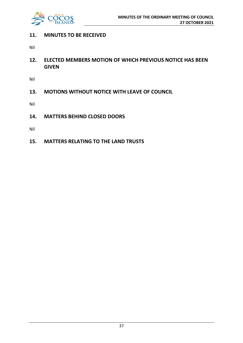

## **11. MINUTES TO BE RECEIVED**

Nil

**12. ELECTED MEMBERS MOTION OF WHICH PREVIOUS NOTICE HAS BEEN GIVEN**

Nil

**13. MOTIONS WITHOUT NOTICE WITH LEAVE OF COUNCIL**

Nil

**14. MATTERS BEHIND CLOSED DOORS**

Nil

**15. MATTERS RELATING TO THE LAND TRUSTS**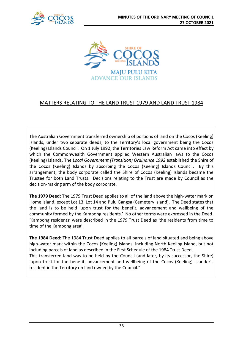



## MATTERS RELATING TO THE LAND TRUST 1979 AND LAND TRUST 1984

The Australian Government transferred ownership of portions of land on the Cocos (Keeling) Islands, under two separate deeds, to the Territory's local government being the Cocos (Keeling) Islands Council. On 1 July 1992, the Territories Law Reform Act came into effect by which the Commonwealth Government applied Western Australian laws to the Cocos (Keeling) Islands. The *Local Government (Transition) Ordinance 1992* established the Shire of the Cocos (Keeling) Islands by absorbing the Cocos (Keeling) Islands Council. By this arrangement, the body corporate called the Shire of Cocos (Keeling) Islands became the Trustee for both Land Trusts. Decisions relating to the Trust are made by Council as the decision-making arm of the body corporate.

**The 1979 Deed:** The 1979 Trust Deed applies to all of the land above the high-water mark on Home Island, except Lot 13, Lot 14 and Pulu Gangsa (Cemetery Island). The Deed states that the land is to be held 'upon trust for the benefit, advancement and wellbeing of the community formed by the Kampong residents.' No other terms were expressed in the Deed. 'Kampong residents' were described in the 1979 Trust Deed as 'the residents from time to time of the Kampong area'.

**The 1984 Deed:** The 1984 Trust Deed applies to all parcels of land situated and being above high-water mark within the Cocos (Keeling) Islands, including North Keeling Island, but not including parcels of land as described in the First Schedule of the 1984 Trust Deed. This transferred land was to be held by the Council (and later, by its successor, the Shire) 'upon trust for the benefit, advancement and wellbeing of the Cocos (Keeling) Islander's resident in the Territory on land owned by the Council."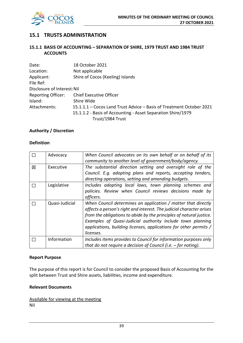

## **15.1 TRUSTS ADMINISTRATION**

## **15.1.1 BASIS OF ACCOUNTING – SEPARATION OF SHIRE, 1979 TRUST AND 1984 TRUST ACCOUNTS**

| Date:                       | 18 October 2021                                                      |
|-----------------------------|----------------------------------------------------------------------|
| Location:                   | Not applicable                                                       |
| Applicant:                  | Shire of Cocos (Keeling) Islands                                     |
| File Ref:                   |                                                                      |
| Disclosure of Interest: Nil |                                                                      |
| <b>Reporting Officer:</b>   | <b>Chief Executive Officer</b>                                       |
| Island:                     | Shire Wide                                                           |
| Attachments:                | 15.1.1.1 - Cocos Land Trust Advice - Basis of Treatment October 2021 |
|                             | 15.1.1.2 - Basis of Accounting - Asset Separation Shire/1979         |
|                             | Trust/1984 Trust                                                     |

## **Authority / Discretion**

## **Definition**

|   | Advocacy       | When Council advocates on its own behalf or on behalf of its<br>community to another level of government/body/agency.                                                                                                                                                                                                                                        |
|---|----------------|--------------------------------------------------------------------------------------------------------------------------------------------------------------------------------------------------------------------------------------------------------------------------------------------------------------------------------------------------------------|
| 冈 | Executive      | The substantial direction setting and oversight role of the<br>Council. E.g. adopting plans and reports, accepting tenders,<br>directing operations, setting and amending budgets.                                                                                                                                                                           |
|   | Legislative    | Includes adopting local laws, town planning schemes and<br>policies. Review when Council reviews decisions made by<br>officers.                                                                                                                                                                                                                              |
|   | Quasi-Judicial | When Council determines an application / matter that directly<br>affects a person's right and interest. The judicial character arises<br>from the obligations to abide by the principles of natural justice.<br>Examples of Quasi-Judicial authority include town planning<br>applications, building licenses, applications for other permits /<br>licenses. |
|   | Information    | Includes items provides to Council for information purposes only<br>that do not require a decision of Council (i.e. $-$ for noting).                                                                                                                                                                                                                         |

## **Report Purpose**

The purpose of this report is for Council to consider the proposed Basis of Accounting for the split between Trust and Shire assets, liabilities, income and expenditure.

## **Relevant Documents**

Available for viewing at the meeting Nil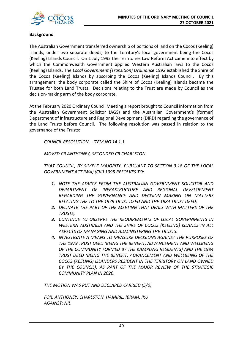

## **Background**

The Australian Government transferred ownership of portions of land on the Cocos (Keeling) Islands, under two separate deeds, to the Territory's local government being the Cocos (Keeling) Islands Council. On 1 July 1992 the Territories Law Reform Act came into effect by which the Commonwealth Government applied Western Australian laws to the Cocos (Keeling) Islands. The *Local Government (Transition) Ordinance 1992* established the Shire of the Cocos (Keeling) Islands by absorbing the Cocos (Keeling) Islands Council. By this arrangement, the body corporate called the Shire of Cocos (Keeling) Islands became the Trustee for both Land Trusts. Decisions relating to the Trust are made by Council as the decision-making arm of the body corporate.

At the February 2020 Ordinary Council Meeting a report brought to Council information from the Australian Government Solicitor (AGS) and the Australian Government's [former] Department of Infrastructure and Regional Development (DIRD) regarding the governance of the Land Trusts before Council. The following resolution was passed in relation to the governance of the Trusts:

*COUNCIL RESOLUTION – ITEM NO 14.1.1*

*MOVED CR ANTHONEY, SECONDED CR CHARLSTON*

*THAT COUNCIL, BY SIMPLE MAJORITY, PURSUANT TO SECTION 3.18 OF THE LOCAL GOVERNMENT ACT (WA) (CKI) 1995 RESOLVES TO:*

- *1. NOTE THE ADVICE FROM THE AUSTRALIAN GOVERNMENT SOLICITOR AND DEPARTMENT OF INFRASTRUCTURE AND REGIONAL DEVELOPMENT REGARDING THE GOVERNANCE AND DECISION MAKING ON MATTERS RELATING THE TO THE 1979 TRUST DEED AND THE 1984 TRUST DEED;*
- *2. DELINATE THE PART OF THE MEETING THAT DEALS WITH MATTERS OF THE TRUSTS;*
- *3. CONTINUE TO OBSERVE THE REQUIREMENTS OF LOCAL GOVERNMENTS IN WESTERN AUSTRALIA AND THE SHIRE OF COCOS (KEELING) ISLANDS IN ALL ASPECTS OF MANAGING AND ADMINISTERING THE TRUSTS.*
- *4. INVESTIGATE A MEANS TO MEASURE DECISIONS AGAINST THE PURPOSES OF THE 1979 TRUST DEED (BEING THE BENEFIT, ADVANCEMENT AND WELLBEING OF THE COMMUNITY FORMED BY THE KAMPONG RESIDENTS) AND THE 1984 TRUST DEED (BEING THE BENEFIT, ADVANCEMENT AND WELLBEING OF THE COCOS (KEELING) ISLANDERS RESIDENT IN THE TERRITORY ON LAND OWNED BY THE COUNCIL), AS PART OF THE MAJOR REVIEW OF THE STRATEGIC COMMUNITY PLAN IN 2020.*

*THE MOTION WAS PUT AND DECLARED CARRIED (5/0)*

*FOR: ANTHONEY, CHARLSTON, HAMIRIL, IBRAM, IKU AGAINST: NIL*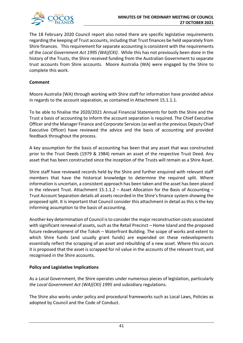

The 18 February 2020 Council report also noted there are specific legislative requirements regarding the keeping of Trust accounts, including that Trust finances be held separately from Shire finances. This requirement for separate accounting is consistent with the requirements of the *Local Government Act 1995 (WA)(CKI)*. While this has not previously been done in the history of the Trusts, the Shire received funding from the Australian Government to separate trust accounts from Shire accounts. Moore Australia (WA) were engaged by the Shire to complete this work.

## **Comment**

Moore Australia (WA) through working with Shire staff for information have provided advice in regards to the account separation, as contained in Attachment 15.1.1.1.

To be able to finalise the 2020/2021 Annual Financial Statements for both the Shire and the Trust a basis of accounting to inform the account separation is required. The Chief Executive Officer and the Manager Finance and Corporate Services (as well as the previous Deputy Chief Executive Officer) have reviewed the advice and the basis of accounting and provided feedback throughout the process.

A key assumption for the basis of accounting has been that any asset that was constructed prior to the Trust Deeds (1979 & 1984) remain an asset of the respective Trust Deed. Any asset that has been constructed since the inception of the Trusts will remain as a Shire Asset.

Shire staff have reviewed records held by the Shire and further enquired with relevant staff members that have the historical knowledge to determine the required split. Where information is uncertain, a consistent approach has been taken and the asset has been placed in the relevant Trust. Attachment  $15.1.1.2 -$  Asset Allocation for the Basis of Accounting – Trust Account Separation details all assets recorded in the Shire's finance system showing the proposed split. It is important that Council consider this attachment in detail as this is the key informing assumption to the basis of accounting.

Another key determination of Council is to consider the major reconstruction costs associated with significant renewal of assets, such as the Retail Precinct – Home Island and the proposed future redevelopment of the Tokoh – Waterfront Building. The scope of works and extent to which Shire funds (and usually grant funds) are expended on these redevelopments essentially reflect the scrapping of an asset and rebuilding of a new asset. Where this occurs it is proposed that the asset is scrapped for nil value in the accounts of the relevant trust, and recognised in the Shire accounts.

## **Policy and Legislative Implications**

As a Local Government, the Shire operates under numerous pieces of legislation, particularly *the Local Government Act (WA)(CKI) 1995* and subsidiary regulations.

The Shire also works under policy and procedural frameworks such as Local Laws, Policies as adopted by Council and the Code of Conduct.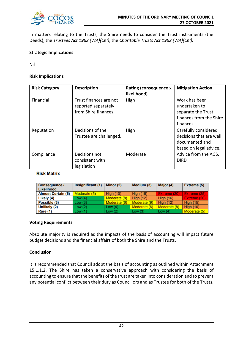

In matters relating to the Trusts, the Shire needs to consider the Trust instruments (the Deeds), the *Trustees Act 1962 (WA)(CKI)*, the *Charitable Trusts Act 1962 (WA)(CKI).* 

## **Strategic Implications**

Nil

## **Risk Implications**

| <b>Risk Category</b> | <b>Description</b>                                                    | <b>Rating (consequence x</b><br>likelihood) | <b>Mitigation Action</b>                                                                     |
|----------------------|-----------------------------------------------------------------------|---------------------------------------------|----------------------------------------------------------------------------------------------|
| Financial            | Trust finances are not<br>reported separately<br>from Shire finances. | High                                        | Work has been<br>undertaken to<br>separate the Trust<br>finances from the Shire<br>finances. |
| Reputation           | Decisions of the<br>Trustee are challenged.                           | High                                        | Carefully considered<br>decisions that are well<br>documented and<br>based on legal advice.  |
| Compliance           | Decisions not<br>consistent with<br>legislation                       | Moderate                                    | Advice from the AGS,<br><b>DIRD</b>                                                          |

## **Risk Matrix**

| <b>Consequence /</b><br>Likelihood | Insignificant (1) | Minor (2)        | Medium (3)       | Major (4)        | <b>Extreme (5)</b> |
|------------------------------------|-------------------|------------------|------------------|------------------|--------------------|
| <b>Almost Certain (5)</b>          | Moderate (5)      | <b>High (10)</b> | <b>High (15)</b> | Extreme (20)     | Extreme (25)       |
| Likely (4)                         | Low(4)            | Moderate (8)     | <b>High (12)</b> | <b>High (16)</b> | Extreme (20)       |
| Possible (3)                       | Low(3)            | Moderate (6)     | Moderate (9)     | <b>High (12)</b> | <b>High (15)</b>   |
| Unlikely (2)                       | Low (2)           | Low $(4)$        | Moderate (6)     | Moderate (8)     | <b>High (10)</b>   |
| Rare (1)                           | Low (1)           | Low(2)           | Low(3)           | Low $(4)$        | Moderate (5)       |

## **Voting Requirements**

Absolute majority is required as the impacts of the basis of accounting will impact future budget decisions and the financial affairs of both the Shire and the Trusts.

## **Conclusion**

It is recommended that Council adopt the basis of accounting as outlined within Attachment 15.1.1.2. The Shire has taken a conservative approach with considering the basis of accounting to ensure that the benefits of the trust are taken into consideration and to prevent any potential conflict between their duty as Councillors and as Trustee for both of the Trusts.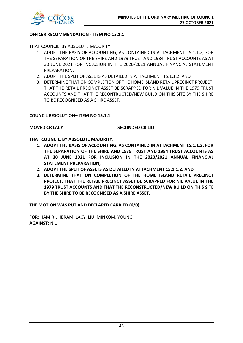

## **OFFICER RECOMMENDATION - ITEM NO 15.1.1**

THAT COUNCIL, BY ABSOLUTE MAJORITY:

- 1. ADOPT THE BASIS OF ACCOUNTING, AS CONTAINED IN ATTACHMENT 15.1.1.2, FOR THE SEPARATION OF THE SHIRE AND 1979 TRUST AND 1984 TRUST ACCOUNTS AS AT 30 JUNE 2021 FOR INCLUSION IN THE 2020/2021 ANNUAL FINANCIAL STATEMENT PREPARATION;
- 2. ADOPT THE SPLIT OF ASSETS AS DETAILED IN ATTACHMENT 15.1.1.2; AND
- 3. DETERMINE THAT ON COMPLETION OF THE HOME ISLAND RETAIL PRECINCT PROJECT, THAT THE RETAIL PRECINCT ASSET BE SCRAPPED FOR NIL VALUE IN THE 1979 TRUST ACCOUNTS AND THAT THE RECONTRUCTED/NEW BUILD ON THIS SITE BY THE SHIRE TO BE RECOGNISED AS A SHIRE ASSET.

## **COUNCIL RESOLUTION– ITEM NO 15.1.1**

**MOVED CR LACY SECONDED CR LIU**

**THAT COUNCIL, BY ABSOLUTE MAJORITY:**

- **1. ADOPT THE BASIS OF ACCOUNTING, AS CONTAINED IN ATTACHMENT 15.1.1.2, FOR THE SEPARATION OF THE SHIRE AND 1979 TRUST AND 1984 TRUST ACCOUNTS AS AT 30 JUNE 2021 FOR INCLUSION IN THE 2020/2021 ANNUAL FINANCIAL STATEMENT PREPARATION;**
- **2. ADOPT THE SPLIT OF ASSETS AS DETAILED IN ATTACHMENT 15.1.1.2; AND**
- **3. DETERMINE THAT ON COMPLETION OF THE HOME ISLAND RETAIL PRECINCT PROJECT, THAT THE RETAIL PRECINCT ASSET BE SCRAPPED FOR NIL VALUE IN THE 1979 TRUST ACCOUNTS AND THAT THE RECONSTRUCTED/NEW BUILD ON THIS SITE BY THE SHIRE TO BE RECOGNISED AS A SHIRE ASSET.**

**THE MOTION WAS PUT AND DECLARED CARRIED (6/0)**

**FOR:** HAMIRIL, IBRAM, LACY, LIU, MINKOM, YOUNG **AGAINST:** NIL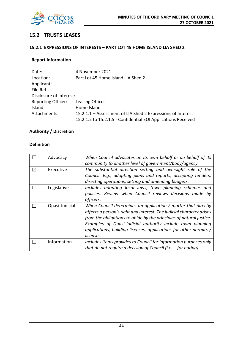

## **15.2 TRUSTS LEASES**

## **15.2.1 EXPRESSIONS OF INTERESTS – PART LOT 45 HOME ISLAND LIA SHED 2**

## **Report Information**

| Date:                     | 4 November 2021                                               |
|---------------------------|---------------------------------------------------------------|
| Location:                 | Part Lot 45 Home Island LIA Shed 2                            |
| Applicant:                |                                                               |
| File Ref:                 |                                                               |
| Disclosure of Interest:   |                                                               |
| <b>Reporting Officer:</b> | Leasing Officer                                               |
| Island:                   | Home Island                                                   |
| Attachments:              | 15.2.1.1 – Assessment of LIA Shed 2 Expressions of Interest   |
|                           | 15.2.1.2 to 15.2.1.5 - Confidential EOI Applications Received |

## **Authority / Discretion**

## **Definition**

|   | Advocacy       | When Council advocates on its own behalf or on behalf of its         |
|---|----------------|----------------------------------------------------------------------|
|   |                | community to another level of government/body/agency.                |
| ⊠ | Executive      | The substantial direction setting and oversight role of the          |
|   |                | Council. E.g., adopting plans and reports, accepting tenders,        |
|   |                | directing operations, setting and amending budgets.                  |
|   | Legislative    | Includes adopting local laws, town planning schemes and              |
|   |                | policies. Review when Council reviews decisions made by              |
|   |                | officers.                                                            |
|   | Quasi-Judicial | When Council determines an application / matter that directly        |
|   |                | affects a person's right and interest. The judicial character arises |
|   |                | from the obligations to abide by the principles of natural justice.  |
|   |                | Examples of Quasi-Judicial authority include town planning           |
|   |                | applications, building licenses, applications for other permits /    |
|   |                | licenses.                                                            |
|   | Information    | Includes items provides to Council for information purposes only     |
|   |                | that do not require a decision of Council (i.e. $-$ for noting).     |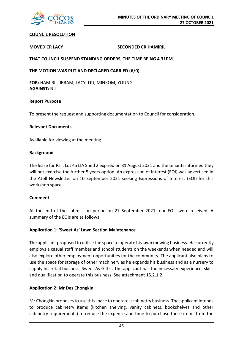

## **COUNCIL RESOLUTION**

## **MOVED CR LACY SECONDED CR HAMIRIL**

**THAT COUNCIL SUSPEND STANDING ORDERS, THE TIME BEING 4.31PM.**

**THE MOTION WAS PUT AND DECLARED CARRIED (6/0)**

**FOR:** HAMIRIL, IBRAM, LACY, LIU, MINKOM, YOUNG **AGAINST:** NIL

## **Report Purpose**

To present the request and supporting documentation to Council for consideration.

## **Relevant Documents**

Available for viewing at the meeting.

## **Background**

The lease for Part Lot 45 LIA Shed 2 expired on 31 August 2021 and the tenants informed they will not exercise the further 5 years option. An expression of interest (EOI) was advertised in the Atoll Newsletter on 10 September 2021 seeking Expressions of Interest (EOI) for this workshop space.

## **Comment**

At the end of the submission period on 27 September 2021 four EOIs were received. A summary of the EOIs are as follows:

## **Application 1: 'Sweet As' Lawn Section Maintenance**

The applicant proposed to utilise the space to operate his lawn mowing business. He currently employs a casual staff member and school students on the weekends when needed and will also explore other employment opportunities for the community. The applicant also plans to use the space for storage of other machinery as he expands his business and as a nursery to supply his retail business 'Sweet As Gifts'. The applicant has the necessary experience, skills and qualification to operate this business. See attachment 15.2.1.2.

## **Application 2: Mr Des Chongkin**

Mr Chongkin proposes to use this space to operate a cabinetry business. The applicant intends to produce cabinetry items (kitchen shelving, vanity cabinets, bookshelves and other cabinetry requirements) to reduce the expense and time to purchase these items from the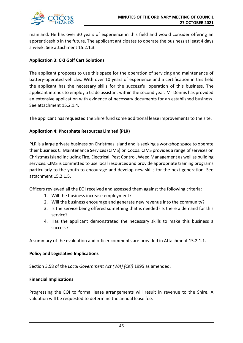

mainland. He has over 30 years of experience in this field and would consider offering an apprenticeship in the future. The applicant anticipates to operate the business at least 4 days a week. See attachment 15.2.1.3.

## **Application 3: CKI Golf Cart Solutions**

The applicant proposes to use this space for the operation of servicing and maintenance of battery-operated vehicles. With over 10 years of experience and a certification in this field the applicant has the necessary skills for the successful operation of this business. The applicant intends to employ a trade assistant within the second year. Mr Dennis has provided an extensive application with evidence of necessary documents for an established business. See attachment 15.2.1.4.

The applicant has requested the Shire fund some additional lease improvements to the site.

## **Application 4: Phosphate Resources Limited (PLR)**

PLR is a large private business on Christmas Island and is seeking a workshop space to operate their business CI Maintenance Services (CIMS) on Cocos. CIMS provides a range of services on Christmas Island including Fire, Electrical, Pest Control, Weed Management as well as building services. CIMS is committed to use local resources and provide appropriate training programs particularly to the youth to encourage and develop new skills for the next generation. See attachment 15.2.1.5.

Officers reviewed all the EOI received and assessed them against the following criteria:

- 1. Will the business increase employment?
- 2. Will the business encourage and generate new revenue into the community?
- 3. Is the service being offered something that is needed? Is there a demand for this service?
- 4. Has the applicant demonstrated the necessary skills to make this business a success?

A summary of the evaluation and officer comments are provided in Attachment 15.2.1.1.

## **Policy and Legislative Implications**

Section 3.58 of the *Local Government Act (WA) (CKI)* 1995 as amended.

## **Financial Implications**

Progressing the EOI to formal lease arrangements will result in revenue to the Shire. A valuation will be requested to determine the annual lease fee.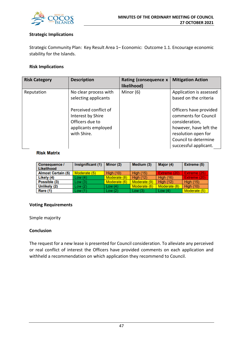

## **Strategic Implications**

Strategic Community Plan: Key Result Area 1– Economic: Outcome 1.1. Encourage economic stability for the Islands.

## **Risk Implications**

| <b>Risk Category</b> | <b>Description</b>                                                                                  | Rating (consequence x<br>likelihood) | <b>Mitigation Action</b>                                                                                                                                           |
|----------------------|-----------------------------------------------------------------------------------------------------|--------------------------------------|--------------------------------------------------------------------------------------------------------------------------------------------------------------------|
| Reputation           | No clear process with<br>selecting applicants                                                       | Minor $(6)$                          | Application is assessed<br>based on the criteria                                                                                                                   |
|                      | Perceived conflict of<br>Interest by Shire<br>Officers due to<br>applicants employed<br>with Shire. |                                      | Officers have provided<br>comments for Council<br>consideration,<br>however, have left the<br>resolution open for<br>Council to determine<br>successful applicant. |

## **Risk Matrix**

| <b>Consequence /</b><br>Likelihood | Insignificant (1) | Minor $(2)$      | Medium (3)       | Major (4)        | Extreme (5)      |
|------------------------------------|-------------------|------------------|------------------|------------------|------------------|
| <b>Almost Certain (5)</b>          | Moderate (5)      | <b>High (10)</b> | <b>High (15)</b> | Extreme (20)     | Extreme (25)     |
| Likely (4)                         | Low(4)            | Moderate (8)     | High $(12)$      | <b>High (16)</b> | Extreme (20)     |
| Possible (3)                       | Low(3)            | Moderate (6)     | Moderate (9)     | <b>High (12)</b> | <b>High (15)</b> |
| Unlikely (2)                       | Low(2)            | Low $(4)$        | Moderate (6)     | Moderate (8)     | <b>High (10)</b> |
| Rare (1)                           | Low(1)            | Low(2)           | Low(3)           | Low $(4)$        | Moderate (5)     |

## **Voting Requirements**

Simple majority

## **Conclusion**

The request for a new lease is presented for Council consideration. To alleviate any perceived or real conflict of interest the Officers have provided comments on each application and withheld a recommendation on which application they recommend to Council.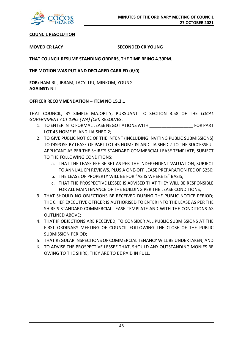

## **COUNCIL RESOLUTION**

## **MOVED CR LACY SECONDED CR YOUNG**

## **THAT COUNCIL RESUME STANDING ORDERS, THE TIME BEING 4.39PM.**

## **THE MOTION WAS PUT AND DECLARED CARRIED (6/0)**

**FOR:** HAMIRIL, IBRAM, LACY, LIU, MINKOM, YOUNG **AGAINST:** NIL

## **OFFICER RECOMMENDATION – ITEM NO 15.2.1**

THAT COUNCIL, BY SIMPLE MAJORITY, PURSUANT TO SECTION 3.58 OF THE *LOCAL GOVERNMENT ACT 1995 (WA) (CKI)* RESOLVES:

- 1. TO ENTER INTO FORMAL LEASE NEGOTIATIONS WITH FOR PART LOT 45 HOME ISLAND LIA SHED 2;
- 2. TO GIVE PUBLIC NOTICE OF THE INTENT (INCLUDING INVITING PUBLIC SUBMISSIONS) TO DISPOSE BY LEASE OF PART LOT 45 HOME ISLAND LIA SHED 2 TO THE SUCCESSFUL APPLICANT AS PER THE SHIRE'S STANDARD COMMERCIAL LEASE TEMPLATE, SUBJECT TO THE FOLLOWING CONDITIONS:
	- a. THAT THE LEASE FEE BE SET AS PER THE INDEPENDENT VALUATION, SUBJECT TO ANNUAL CPI REVIEWS, PLUS A ONE-OFF LEASE PREPARATION FEE OF \$250;
	- b. THE LEASE OF PROPERTY WILL BE FOR "AS IS WHERE IS" BASIS;
	- c. THAT THE PROSPECTIVE LESSEE IS ADVISED THAT THEY WILL BE RESPONSIBLE FOR ALL MAINTENANCE OF THE BUILDING PER THE LEASE CONDITIONS;
- 3. THAT SHOULD NO OBJECTIONS BE RECEIVED DURING THE PUBLIC NOTICE PERIOD; THE CHIEF EXECUTIVE OFFICER IS AUTHORISED TO ENTER INTO THE LEASE AS PER THE SHIRE'S STANDARD COMMERCIAL LEASE TEMPLATE AND WITH THE CONDITIONS AS OUTLINED ABOVE;
- 4. THAT IF OBJECTIONS ARE RECEIVED, TO CONSIDER ALL PUBLIC SUBMISSIONS AT THE FIRST ORDINARY MEETING OF COUNCIL FOLLOWING THE CLOSE OF THE PUBLIC SUBMISSION PERIOD;
- 5. THAT REGULAR INSPECTIONS OF COMMERCIAL TENANCY WILL BE UNDERTAKEN; AND
- 6. TO ADVISE THE PROSPECTIVE LESSEE THAT, SHOULD ANY OUTSTANDING MONIES BE OWING TO THE SHIRE, THEY ARE TO BE PAID IN FULL.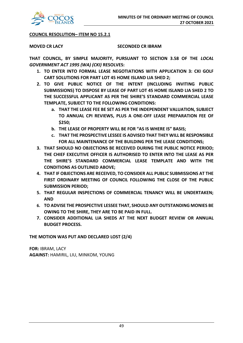

## **COUNCIL RESOLUTION– ITEM NO 15.2.1**

## **MOVED CR LACY SECONDED CR IBRAM**

**THAT COUNCIL, BY SIMPLE MAJORITY, PURSUANT TO SECTION 3.58 OF THE** *LOCAL GOVERNMENT ACT 1995 (WA) (CKI)* **RESOLVES:**

- **1. TO ENTER INTO FORMAL LEASE NEGOTIATIONS WITH APPLICATION 3: CKI GOLF CART SOLUTIONS FOR PART LOT 45 HOME ISLAND LIA SHED 2;**
- **2. TO GIVE PUBLIC NOTICE OF THE INTENT (INCLUDING INVITING PUBLIC SUBMISSIONS) TO DISPOSE BY LEASE OF PART LOT 45 HOME ISLAND LIA SHED 2 TO THE SUCCESSFUL APPLICANT AS PER THE SHIRE'S STANDARD COMMERCIAL LEASE TEMPLATE, SUBJECT TO THE FOLLOWING CONDITIONS:**
	- **a. THAT THE LEASE FEE BE SET AS PER THE INDEPENDENT VALUATION, SUBJECT TO ANNUAL CPI REVIEWS, PLUS A ONE-OFF LEASE PREPARATION FEE OF \$250;**
	- **b. THE LEASE OF PROPERTY WILL BE FOR "AS IS WHERE IS" BASIS;**
	- **c. THAT THE PROSPECTIVE LESSEE IS ADVISED THAT THEY WILL BE RESPONSIBLE FOR ALL MAINTENANCE OF THE BUILDING PER THE LEASE CONDITIONS;**
- **3. THAT SHOULD NO OBJECTIONS BE RECEIVED DURING THE PUBLIC NOTICE PERIOD; THE CHIEF EXECUTIVE OFFICER IS AUTHORISED TO ENTER INTO THE LEASE AS PER THE SHIRE'S STANDARD COMMERCIAL LEASE TEMPLATE AND WITH THE CONDITIONS AS OUTLINED ABOVE;**
- **4. THAT IF OBJECTIONS ARE RECEIVED, TO CONSIDER ALL PUBLIC SUBMISSIONS AT THE FIRST ORDINARY MEETING OF COUNCIL FOLLOWING THE CLOSE OF THE PUBLIC SUBMISSION PERIOD;**
- **5. THAT REGULAR INSPECTIONS OF COMMERCIAL TENANCY WILL BE UNDERTAKEN; AND**
- **6. TO ADVISE THE PROSPECTIVE LESSEE THAT, SHOULD ANY OUTSTANDING MONIES BE OWING TO THE SHIRE, THEY ARE TO BE PAID IN FULL.**
- **7. CONSIDER ADDITIONAL LIA SHEDS AT THE NEXT BUDGET REVIEW OR ANNUAL BUDGET PROCESS.**

## **THE MOTION WAS PUT AND DECLARED LOST (2/4)**

**FOR:** IBRAM, LACY **AGAINST:** HAMIRIL, LIU, MINKOM, YOUNG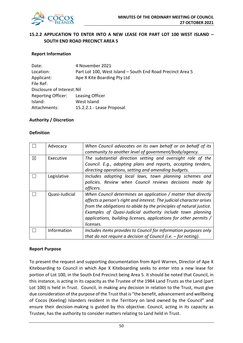

## **15.2.2 APPLICATION TO ENTER INTO A NEW LEASE FOR PART LOT 100 WEST ISLAND – SOUTH END ROAD PRECINCT AREA 5**

## **Report Information**

| Date:                       | 4 November 2021                                            |
|-----------------------------|------------------------------------------------------------|
| Location:                   | Part Lot 100, West Island - South End Road Precinct Area 5 |
| Applicant:                  | Ape X Kite Boarding Pty Ltd                                |
| File Ref:                   |                                                            |
| Disclosure of Interest: Nil |                                                            |
| <b>Reporting Officer:</b>   | Leasing Officer                                            |
| Island:                     | West Island                                                |
| Attachments:                | 15.2.2.1 - Lease Proposal                                  |

## **Authority / Discretion**

### **Definition**

|             | Advocacy       | When Council advocates on its own behalf or on behalf of its<br>community to another level of government/body/agency.                                                                                                                                                                                                                                        |
|-------------|----------------|--------------------------------------------------------------------------------------------------------------------------------------------------------------------------------------------------------------------------------------------------------------------------------------------------------------------------------------------------------------|
| $\boxtimes$ | Executive      | The substantial direction setting and oversight role of the<br>Council. E.g., adopting plans and reports, accepting tenders,<br>directing operations, setting and amending budgets.                                                                                                                                                                          |
|             | Legislative    | Includes adopting local laws, town planning schemes and<br>policies. Review when Council reviews decisions made by<br>officers.                                                                                                                                                                                                                              |
|             | Quasi-Judicial | When Council determines an application / matter that directly<br>affects a person's right and interest. The judicial character arises<br>from the obligations to abide by the principles of natural justice.<br>Examples of Quasi-Judicial authority include town planning<br>applications, building licenses, applications for other permits /<br>licenses. |
|             | Information    | Includes items provides to Council for information purposes only<br>that do not require a decision of Council (i.e. $-$ for noting).                                                                                                                                                                                                                         |

### **Report Purpose**

To present the request and supporting documentation from April Warren, Director of Ape X Kiteboarding to Council in which Ape X Kiteboarding seeks to enter into a new lease for portion of Lot 100, in the South End Precinct being Area 5. It should be noted that Council, in this instance, is acting in its capacity as the Trustee of the 1984 Land Trusts as the Land (part Lot 100) is held in Trust. Council, in making any decision in relation to the Trust, must give due consideration of the purpose of the Trust that is "the benefit, advancement and wellbeing of Cocos (Keeling) Islanders resident in the Territory on land owned by the Council" and ensure their decision-making is guided by this objective. Council, acting in its capacity as Trustee, has the authority to consider matters relating to Land held in Trust.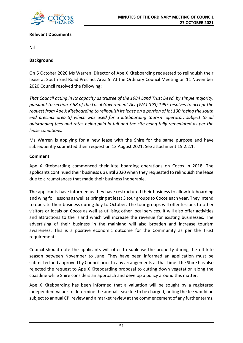

## **Relevant Documents**

Nil

## **Background**

On 5 October 2020 Ms Warren, Director of Ape X Kiteboarding requested to relinquish their lease at South End Road Precinct Area 5. At the Ordinary Council Meeting on 11 November 2020 Council resolved the following:

*That Council acting in its capacity as trustee of the 1984 Land Trust Deed, by simple majority, pursuant to section 3.58 of the Local Government Act (WA) (CKI) 1995 resolves to accept the request from Ape X Kiteboarding to relinquish its lease on a portion of lot 100 (being the south end precinct area 5) which was used for a kiteboarding tourism operator, subject to all outstanding fees and rates being paid in full and the site being fully remediated as per the lease conditions.* 

Ms Warren is applying for a new lease with the Shire for the same purpose and have subsequently submitted their request on 13 August 2021. See attachment 15.2.2.1.

## **Comment**

Ape X Kiteboarding commenced their kite boarding operations on Cocos in 2018. The applicants continued their business up until 2020 when they requested to relinquish the lease due to circumstances that made their business inoperable.

The applicants have informed us they have restructured their business to allow kiteboarding and wing foil lessons as well as bringing at least 3 tour groups to Cocos each year. They intend to operate their business during July to October. The tour groups will offer lessons to other visitors or locals on Cocos as well as utilising other local services. It will also offer activities and attractions to the island which will increase the revenue for existing businesses. The advertising of their business in the mainland will also broaden and increase tourism awareness. This is a positive economic outcome for the Community as per the Trust requirements.

Council should note the applicants will offer to sublease the property during the off-kite season between November to June. They have been informed an application must be submitted and approved by Council prior to any arrangements at that time. The Shire has also rejected the request to Ape X Kiteboarding proposal to cutting down vegetation along the coastline while Shire considers an approach and develop a policy around this matter.

Ape X Kiteboarding has been informed that a valuation will be sought by a registered independent valuer to determine the annual lease fee to be charged, noting the fee would be subject to annual CPI review and a market review at the commencement of any further terms.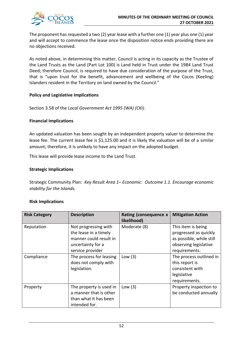

The proponent has requested a two (2) year lease with a further one (1) year plus one (1) year and will accept to commence the lease once the disposition notice ends providing there are no objections received.

As noted above, in determining this matter, Council is acting in its capacity as the Trustee of the Land Trusts as the Land (Part Lot 100) is Land held in Trust under the 1984 Land Trust Deed; therefore Council, is required to have due consideration of the purpose of the Trust, that is "upon trust for the benefit, advancement and wellbeing of the Cocos (Keeling) Islanders resident in the Territory on land owned by the Council."

## **Policy and Legislative Implications**

Section 3.58 of the *Local Government Act 1995 (WA) (CKI)*.

## **Financial Implications**

An updated valuation has been sought by an independent property valuer to determine the lease fee. The current lease fee is \$1,125.00 and it is likely the valuation will be of a similar amount; therefore, it is unlikely to have any impact on the adopted budget.

This lease will provide lease income to the Land Trust.

## **Strategic Implications**

Strategic Community Plan: *Key Result Area 1– Economic: Outcome 1.1. Encourage economic stability for the Islands.*

## **Risk Implications**

| <b>Risk Category</b> | <b>Description</b>                                                                                               | Rating (consequence x<br>likelihood) | <b>Mitigation Action</b>                                                                                          |
|----------------------|------------------------------------------------------------------------------------------------------------------|--------------------------------------|-------------------------------------------------------------------------------------------------------------------|
| Reputation           | Not progressing with<br>the lease in a timely<br>manner could result in<br>uncertainty for a<br>service provider | Moderate (8)                         | This item is being<br>progressed as quickly<br>as possible, while still<br>observing legislative<br>requirements. |
| Compliance           | The process for leasing<br>does not comply with<br>legislation.                                                  | Low $(3)$                            | The process outlined in<br>this report is<br>consistent with<br>legislative<br>requirements.                      |
| Property             | The property is used in<br>a manner that is other<br>than what it has been<br>intended for.                      | Low $(3)$                            | Property inspection to<br>be conducted annually                                                                   |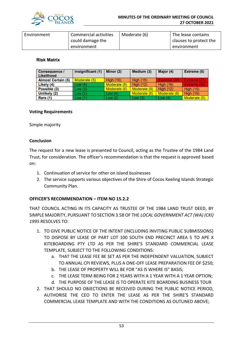

| Environment | Commercial activities | Moderate (6) | The lease contains     |
|-------------|-----------------------|--------------|------------------------|
|             | could damage the      |              | clauses to protect the |
|             | environment           |              | environment            |

## **Risk Matrix**

| <b>Consequence /</b><br>Likelihood | Insignificant (1) | Minor (2)        | Medium (3)       | Major (4)        | Extreme (5)      |
|------------------------------------|-------------------|------------------|------------------|------------------|------------------|
| <b>Almost Certain (5)</b>          | Moderate (5)      | <b>High (10)</b> | <b>High (15)</b> | Extreme (20)     | Extreme (25)     |
| Likely (4)                         | Low(4)            | Moderate (8)     | <b>High (12)</b> | <b>High (16)</b> | Extreme (20)     |
| Possible (3)                       | Low(3)            | Moderate (6)     | Moderate (9)     | High $(12)$      | <b>High (15)</b> |
| Unlikely (2)                       | Low(2)            | Low $(4)$        | Moderate (6)     | Moderate (8)     | <b>High (10)</b> |
| Rare (1)                           | Low (1)           | Low(2)           | Low $(3)$        | Low $(4)$        | Moderate (5)     |

## **Voting Requirements**

Simple majority

## **Conclusion**

The request for a new lease is presented to Council, acting as the Trustee of the 1984 Land Trust, for consideration. The officer's recommendation is that the request is approved based on:

- 1. Continuation of service for other on island businesses
- 2. The service supports various objectives of the Shire of Cocos Keeling Islands Strategic Community Plan.

## **OFFICER'S RECOMMENDATION – ITEM NO 15.2.2**

THAT COUNCIL ACTING IN ITS CAPACITY AS TRUSTEE OF THE 1984 LAND TRUST DEED, BY SIMPLE MAJORITY, PURSUANT TO SECTION 3.58 OF THE *LOCAL GOVERNMENT ACT (WA) (CKI) 1995* RESOLVES TO:

- 1. TO GIVE PUBLIC NOTICE OF THE INTENT (INCLUDING INVITING PUBLIC SUBMISSIONS) TO DISPOSE BY LEASE OF PART LOT 100 SOUTH END PRECINCT AREA 5 TO APE X KITEBOARDING PTY LTD AS PER THE SHIRE'S STANDARD COMMERCIAL LEASE TEMPLATE, SUBJECT TO THE FOLLOWING CONDITIONS:
	- a. THAT THE LEASE FEE BE SET AS PER THE INDEPENDENT VALUATION, SUBJECT TO ANNUAL CPI REVIEWS, PLUS A ONE-OFF LEASE PREPARATION FEE OF \$250;
	- b. THE LEASE OF PROPERTY WILL BE FOR "AS IS WHERE IS" BASIS;
	- c. THE LEASE TERM BEING FOR 2 YEARS WITH A 1 YEAR WITH A 1 YEAR OPTION;
	- d. THE PURPOSE OF THE LEASE IS TO OPERATE KITE BOARDING BUSINESS TOUR
- 2. THAT SHOULD NO OBJECTIONS BE RECEIVED DURING THE PUBLIC NOTICE PERIOD, AUTHORISE THE CEO TO ENTER THE LEASE AS PER THE SHIRE'S STANDARD COMMERCIAL LEASE TEMPLATE AND WITH THE CONDITIONS AS OUTLINED ABOVE;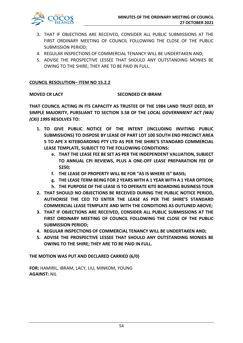

- 3. THAT IF OBJECTIONS ARE RECEIVED, CONSIDER ALL PUBLIC SUBMISSIONS AT THE FIRST ORDINARY MEETING OF COUNCIL FOLLOWING THE CLOSE OF THE PUBLIC SUBMISSION PERIOD;
- 4. REGULAR INSPECTIONS OF COMMERCIAL TENANCY WILL BE UNDERTAKEN AND;
- 5. ADVISE THE PROSPECTIVE LESSEE THAT SHOULD ANY OUTSTANDING MONIES BE OWING TO THE SHIRE; THEY ARE TO BE PAID IN FULL.

## **COUNCIL RESOLUTION– ITEM NO 15.2.2**

## **MOVED CR LACY SECONDED CR IBRAM**

**THAT COUNCIL ACTING IN ITS CAPACITY AS TRUSTEE OF THE 1984 LAND TRUST DEED, BY SIMPLE MAJORITY, PURSUANT TO SECTION 3.58 OF THE** *LOCAL GOVERNMENT ACT (WA) (CKI) 1995* **RESOLVES TO:**

- **1. TO GIVE PUBLIC NOTICE OF THE INTENT (INCLUDING INVITING PUBLIC SUBMISSIONS) TO DISPOSE BY LEASE OF PART LOT 100 SOUTH END PRECINCT AREA 5 TO APE X KITEBOARDING PTY LTD AS PER THE SHIRE'S STANDARD COMMERCIAL LEASE TEMPLATE, SUBJECT TO THE FOLLOWING CONDITIONS:**
	- **e. THAT THE LEASE FEE BE SET AS PER THE INDEPENDENT VALUATION, SUBJECT TO ANNUAL CPI REVIEWS, PLUS A ONE-OFF LEASE PREPARATION FEE OF \$250;**
	- **f. THE LEASE OF PROPERTY WILL BE FOR "AS IS WHERE IS" BASIS;**
	- **g. THE LEASE TERM BEING FOR 2 YEARS WITH A 1 YEAR WITH A 1 YEAR OPTION;**
	- **h. THE PURPOSE OF THE LEASE IS TO OPERATE KITE BOARDING BUSINESS TOUR**
- **2. THAT SHOULD NO OBJECTIONS BE RECEIVED DURING THE PUBLIC NOTICE PERIOD, AUTHORISE THE CEO TO ENTER THE LEASE AS PER THE SHIRE'S STANDARD COMMERCIAL LEASE TEMPLATE AND WITH THE CONDITIONS AS OUTLINED ABOVE;**
- **3. THAT IF OBJECTIONS ARE RECEIVED, CONSIDER ALL PUBLIC SUBMISSIONS AT THE FIRST ORDINARY MEETING OF COUNCIL FOLLOWING THE CLOSE OF THE PUBLIC SUBMISSION PERIOD;**
- **4. REGULAR INSPECTIONS OF COMMERCIAL TENANCY WILL BE UNDERTAKEN AND;**
- **5. ADVISE THE PROSPECTIVE LESSEE THAT SHOULD ANY OUTSTANDING MONIES BE OWING TO THE SHIRE; THEY ARE TO BE PAID IN FULL.**

**THE MOTION WAS PUT AND DECLARED CARRIED (6/0)**

**FOR:** HAMIRIL, IBRAM, LACY, LIU, MINKOM, YOUNG **AGAINST:** NIL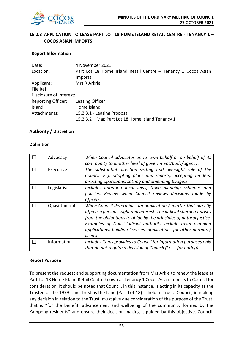

## **15.2.3 APPLICATION TO LEASE PART LOT 18 HOME ISLAND RETAIL CENTRE - TENANCY 1 – COCOS ASIAN IMPORTS**

## **Report Information**

| Date:                     | 4 November 2021                                               |
|---------------------------|---------------------------------------------------------------|
| Location:                 | Part Lot 18 Home Island Retail Centre - Tenancy 1 Cocos Asian |
|                           | <b>Imports</b>                                                |
| Applicant:                | Mrs R Arkrie                                                  |
| File Ref:                 |                                                               |
| Disclosure of Interest:   |                                                               |
| <b>Reporting Officer:</b> | Leasing Officer                                               |
| Island:                   | Home Island                                                   |
| Attachments:              | 15.2.3.1 - Leasing Proposal                                   |
|                           | 15.2.3.2 – Map Part Lot 18 Home Island Tenancy 1              |

## **Authority / Discretion**

## **Definition**

|             | Advocacy       | When Council advocates on its own behalf or on behalf of its         |
|-------------|----------------|----------------------------------------------------------------------|
|             |                | community to another level of government/body/agency.                |
| $\boxtimes$ | Executive      | The substantial direction setting and oversight role of the          |
|             |                | Council. E.g. adopting plans and reports, accepting tenders,         |
|             |                | directing operations, setting and amending budgets.                  |
|             | Legislative    | Includes adopting local laws, town planning schemes and              |
|             |                | policies. Review when Council reviews decisions made by              |
|             |                | officers.                                                            |
|             | Quasi-Judicial | When Council determines an application / matter that directly        |
|             |                | affects a person's right and interest. The judicial character arises |
|             |                | from the obligations to abide by the principles of natural justice.  |
|             |                | Examples of Quasi-Judicial authority include town planning           |
|             |                | applications, building licenses, applications for other permits /    |
|             |                | licenses.                                                            |
|             | Information    | Includes items provides to Council for information purposes only     |
|             |                | that do not require a decision of Council (i.e. $-$ for noting).     |

## **Report Purpose**

To present the request and supporting documentation from Mrs Arkie to renew the lease at Part Lot 18 Home Island Retail Centre known as Tenancy 1 Cocos Asian Imports to Council for consideration. It should be noted that Council, in this instance, is acting in its capacity as the Trustee of the 1979 Land Trust as the Land (Part Lot 18) is held in Trust. Council, in making any decision in relation to the Trust, must give due consideration of the purpose of the Trust, that is "for the benefit, advancement and wellbeing of the community formed by the Kampong residents" and ensure their decision-making is guided by this objective. Council,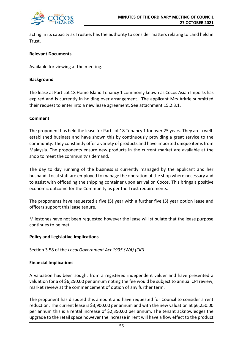

acting in its capacity as Trustee, has the authority to consider matters relating to Land held in Trust.

## **Relevant Documents**

## Available for viewing at the meeting.

## **Background**

The lease at Part Lot 18 Home Island Tenancy 1 commonly known as Cocos Asian Imports has expired and is currently in holding over arrangement. The applicant Mrs Arkrie submitted their request to enter into a new lease agreement. See attachment 15.2.3.1.

## **Comment**

The proponent has held the lease for Part Lot 18 Tenancy 1 for over 25 years. They are a wellestablished business and have shown this by continuously providing a great service to the community. They constantly offer a variety of products and have imported unique items from Malaysia. The proponents ensure new products in the current market are available at the shop to meet the community's demand.

The day to day running of the business is currently managed by the applicant and her husband. Local staff are employed to manage the operation of the shop where necessary and to assist with offloading the shipping container upon arrival on Cocos. This brings a positive economic outcome for the Community as per the Trust requirements.

The proponents have requested a five (5) year with a further five (5) year option lease and officers support this lease tenure.

Milestones have not been requested however the lease will stipulate that the lease purpose continues to be met.

## **Policy and Legislative Implications**

Section 3.58 of the *Local Government Act 1995 (WA) (CKI)*.

## **Financial Implications**

A valuation has been sought from a registered independent valuer and have presented a valuation for a of \$6,250.00 per annum noting the fee would be subject to annual CPI review, market review at the commencement of option of any further term.

The proponent has disputed this amount and have requested for Council to consider a rent reduction. The current lease is \$3,900.00 per annum and with the new valuation at \$6,250.00 per annum this is a rental increase of \$2,350.00 per annum. The tenant acknowledges the upgrade to the retail space however the increase in rent will have a flow effect to the product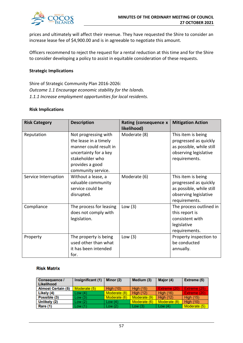

prices and ultimately will affect their revenue. They have requested the Shire to consider an increase lease fee of \$4,900.00 and is in agreeable to negotiate this amount.

Officers recommend to reject the request for a rental reduction at this time and for the Shire to consider developing a policy to assist in equitable consideration of these requests.

## **Strategic Implications**

Shire of Strategic Community Plan 2016-2026: *Outcome 1.1 Encourage economic stability for the Islands. 1.1.1 Increase employment opportunities for local residents.*

### **Risk Implications**

| <b>Risk Category</b> | <b>Description</b>                                                                                                                                           | Rating (consequence x<br>likelihood) | <b>Mitigation Action</b>                                                                                          |
|----------------------|--------------------------------------------------------------------------------------------------------------------------------------------------------------|--------------------------------------|-------------------------------------------------------------------------------------------------------------------|
| Reputation           | Not progressing with<br>the lease in a timely<br>manner could result in<br>uncertainty for a key<br>stakeholder who<br>provides a good<br>community service. | Moderate (8)                         | This item is being<br>progressed as quickly<br>as possible, while still<br>observing legislative<br>requirements. |
| Service Interruption | Without a lease, a<br>valuable community<br>service could be<br>disrupted.                                                                                   | Moderate (6)                         | This item is being<br>progressed as quickly<br>as possible, while still<br>observing legislative<br>requirements. |
| Compliance           | The process for leasing<br>does not comply with<br>legislation.                                                                                              | Low $(3)$                            | The process outlined in<br>this report is<br>consistent with<br>legislative<br>requirements.                      |
| Property             | The property is being<br>used other than what<br>it has been intended<br>for.                                                                                | Low $(3)$                            | Property inspection to<br>be conducted<br>annually.                                                               |

### **Risk Matrix**

| <b>Consequence /</b><br>Likelihood | Insignificant (1) | Minor (2)    | Medium (3)       | Major (4)        | Extreme (5)      |
|------------------------------------|-------------------|--------------|------------------|------------------|------------------|
| <b>Almost Certain (5)</b>          | Moderate (5)      | High $(10)$  | <b>High (15)</b> | Extreme (20)     | Extreme (25)     |
| Likely (4)                         | Low(4)            | Moderate (8) | High $(12)$      | <b>High (16)</b> | Extreme (20)     |
| Possible (3)                       | Low(3)            | Moderate (6) | Moderate (9)     | <b>High (12)</b> | <b>High (15)</b> |
| Unlikely (2)                       | Low(2)            | Low (4)      | Moderate (6)     | Moderate (8)     | <b>High (10)</b> |
| Rare (1)                           | Low(1)            | Low $(2)$    | Low $(3)$        | Low (4)          | Moderate (5)     |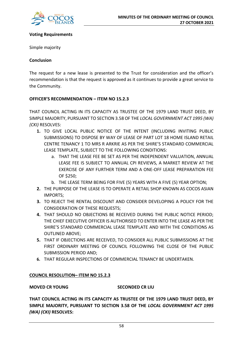

## **Voting Requirements**

Simple majority

## **Conclusion**

The request for a new lease is presented to the Trust for consideration and the officer's recommendation is that the request is approved as it continues to provide a great service to the Community.

## **OFFICER'S RECOMMENDATION – ITEM NO 15.2.3**

THAT COUNCIL ACTING IN ITS CAPACITY AS TRUSTEE OF THE 1979 LAND TRUST DEED, BY SIMPLE MAJORITY, PURSUANT TO SECTION 3.58 OF THE *LOCAL GOVERNMENT ACT 1995 (WA) (CKI)* RESOLVES:

- **1.** TO GIVE LOCAL PUBLIC NOTICE OF THE INTENT (INCLUDING INVITING PUBLIC SUBMISSIONS) TO DISPOSE BY WAY OF LEASE OF PART LOT 18 HOME ISLAND RETAIL CENTRE TENANCY 1 TO MRS R ARKRIE AS PER THE SHIRE'S STANDARD COMMERCIAL LEASE TEMPLATE, SUBJECT TO THE FOLLOWING CONDITIONS:
	- a. THAT THE LEASE FEE BE SET AS PER THE INDEPENDENT VALUATION, ANNUAL LEASE FEE IS SUBJECT TO ANNUAL CPI REVIEWS, A MARKET REVIEW AT THE EXERCISE OF ANY FURTHER TERM AND A ONE-OFF LEASE PREPARATION FEE OF \$250;
	- b. THE LEASE TERM BEING FOR FIVE (5) YEARS WITH A FIVE (5) YEAR OPTION;
- **2.** THE PURPOSE OF THE LEASE IS TO OPERATE A RETAIL SHOP KNOWN AS COCOS ASIAN IMPORTS;
- **3.** TO REJECT THE RENTAL DISCOUNT AND CONSIDER DEVELOPING A POLICY FOR THE CONSIDERATION OF THESE REQUESTS;
- **4.** THAT SHOULD NO OBJECTIONS BE RECEIVED DURING THE PUBLIC NOTICE PERIOD; THE CHIEF EXECUTIVE OFFICER IS AUTHORISED TO ENTER INTO THE LEASE AS PER THE SHIRE'S STANDARD COMMERCIAL LEASE TEMPLATE AND WITH THE CONDITIONS AS OUTLINED ABOVE;
- **5.** THAT IF OBJECTIONS ARE RECEIVED, TO CONSIDER ALL PUBLIC SUBMISSIONS AT THE FIRST ORDINARY MEETING OF COUNCIL FOLLOWING THE CLOSE OF THE PUBLIC SUBMISSION PERIOD AND;
- **6.** THAT REGULAR INSPECTIONS OF COMMERCIAL TENANCY BE UNDERTAKEN.

## **COUNCIL RESOLUTION– ITEM NO 15.2.3**

## **MOVED CR YOUNG SECONDED CR LIU**

**THAT COUNCIL ACTING IN ITS CAPACITY AS TRUSTEE OF THE 1979 LAND TRUST DEED, BY SIMPLE MAJORITY, PURSUANT TO SECTION 3.58 OF THE** *LOCAL GOVERNMENT ACT 1995 (WA) (CKI)* **RESOLVES:**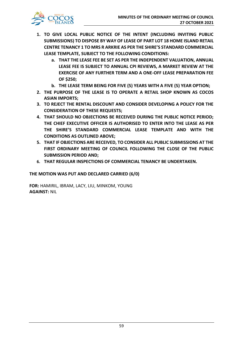

- **1. TO GIVE LOCAL PUBLIC NOTICE OF THE INTENT (INCLUDING INVITING PUBLIC SUBMISSIONS) TO DISPOSE BY WAY OF LEASE OF PART LOT 18 HOME ISLAND RETAIL CENTRE TENANCY 1 TO MRS R ARKRIE AS PER THE SHIRE'S STANDARD COMMERCIAL LEASE TEMPLATE, SUBJECT TO THE FOLLOWING CONDITIONS:**
	- **a. THAT THE LEASE FEE BE SET AS PER THE INDEPENDENT VALUATION, ANNUAL LEASE FEE IS SUBJECT TO ANNUAL CPI REVIEWS, A MARKET REVIEW AT THE EXERCISE OF ANY FURTHER TERM AND A ONE-OFF LEASE PREPARATION FEE OF \$250;**
	- **b. THE LEASE TERM BEING FOR FIVE (5) YEARS WITH A FIVE (5) YEAR OPTION;**
- **2. THE PURPOSE OF THE LEASE IS TO OPERATE A RETAIL SHOP KNOWN AS COCOS ASIAN IMPORTS;**
- **3. TO REJECT THE RENTAL DISCOUNT AND CONSIDER DEVELOPING A POLICY FOR THE CONSIDERATION OF THESE REQUESTS;**
- **4. THAT SHOULD NO OBJECTIONS BE RECEIVED DURING THE PUBLIC NOTICE PERIOD; THE CHIEF EXECUTIVE OFFICER IS AUTHORISED TO ENTER INTO THE LEASE AS PER THE SHIRE'S STANDARD COMMERCIAL LEASE TEMPLATE AND WITH THE CONDITIONS AS OUTLINED ABOVE;**
- **5. THAT IF OBJECTIONS ARE RECEIVED, TO CONSIDER ALL PUBLIC SUBMISSIONS AT THE FIRST ORDINARY MEETING OF COUNCIL FOLLOWING THE CLOSE OF THE PUBLIC SUBMISSION PERIOD AND;**
- **6. THAT REGULAR INSPECTIONS OF COMMERCIAL TENANCY BE UNDERTAKEN.**

## **THE MOTION WAS PUT AND DECLARED CARRIED (6/0)**

**FOR:** HAMIRIL, IBRAM, LACY, LIU, MINKOM, YOUNG **AGAINST:** NIL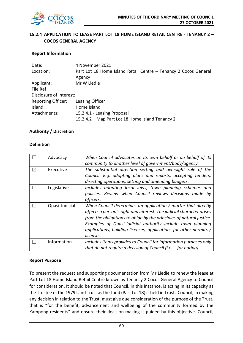

## **15.2.4 APPLICATION TO LEASE PART LOT 18 HOME ISLAND RETAIL CENTRE - TENANCY 2 – COCOS GENERAL AGENCY**

## **Report Information**

| 4 November 2021                                                 |
|-----------------------------------------------------------------|
| Part Lot 18 Home Island Retail Centre - Tenancy 2 Cocos General |
| Agency                                                          |
| Mr W Liedie                                                     |
|                                                                 |
| Disclosure of Interest:                                         |
| Leasing Officer                                                 |
| Home Island                                                     |
| 15.2.4.1 - Leasing Proposal                                     |
| 15.2.4.2 – Map Part Lot 18 Home Island Tenancy 2                |
|                                                                 |

## **Authority / Discretion**

## **Definition**

|   | Advocacy       | When Council advocates on its own behalf or on behalf of its         |
|---|----------------|----------------------------------------------------------------------|
|   |                | community to another level of government/body/agency.                |
| ⊠ | Executive      | The substantial direction setting and oversight role of the          |
|   |                | Council. E.g. adopting plans and reports, accepting tenders,         |
|   |                | directing operations, setting and amending budgets.                  |
|   | Legislative    | Includes adopting local laws, town planning schemes and              |
|   |                | policies. Review when Council reviews decisions made by              |
|   |                | officers.                                                            |
|   | Quasi-Judicial | When Council determines an application / matter that directly        |
|   |                | affects a person's right and interest. The judicial character arises |
|   |                | from the obligations to abide by the principles of natural justice.  |
|   |                | Examples of Quasi-Judicial authority include town planning           |
|   |                | applications, building licenses, applications for other permits /    |
|   |                | licenses.                                                            |
|   | Information    | Includes items provides to Council for information purposes only     |
|   |                | that do not require a decision of Council (i.e. $-$ for noting).     |

## **Report Purpose**

To present the request and supporting documentation from Mr Liedie to renew the lease at Part Lot 18 Home Island Retail Centre known as Tenancy 2 Cocos General Agency to Council for consideration. It should be noted that Council, in this instance, is acting in its capacity as the Trustee of the 1979 Land Trust as the Land (Part Lot 18) is held in Trust. Council, in making any decision in relation to the Trust, must give due consideration of the purpose of the Trust, that is "for the benefit, advancement and wellbeing of the community formed by the Kampong residents" and ensure their decision-making is guided by this objective. Council,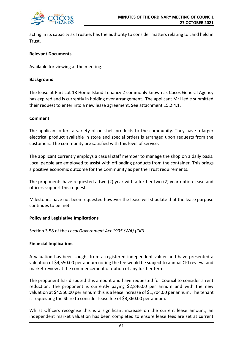

acting in its capacity as Trustee, has the authority to consider matters relating to Land held in Trust.

## **Relevant Documents**

## Available for viewing at the meeting.

## **Background**

The lease at Part Lot 18 Home Island Tenancy 2 commonly known as Cocos General Agency has expired and is currently in holding over arrangement. The applicant Mr Liedie submitted their request to enter into a new lease agreement. See attachment 15.2.4.1.

## **Comment**

The applicant offers a variety of on shelf products to the community. They have a larger electrical product available in store and special orders is arranged upon requests from the customers. The community are satisfied with this level of service.

The applicant currently employs a casual staff member to manage the shop on a daily basis. Local people are employed to assist with offloading products from the container. This brings a positive economic outcome for the Community as per the Trust requirements.

The proponents have requested a two (2) year with a further two (2) year option lease and officers support this request.

Milestones have not been requested however the lease will stipulate that the lease purpose continues to be met.

## **Policy and Legislative Implications**

Section 3.58 of the *Local Government Act 1995 (WA) (CKI)*.

## **Financial Implications**

A valuation has been sought from a registered independent valuer and have presented a valuation of \$4,550.00 per annum noting the fee would be subject to annual CPI review, and market review at the commencement of option of any further term.

The proponent has disputed this amount and have requested for Council to consider a rent reduction. The proponent is currently paying \$2,846.00 per annum and with the new valuation at \$4,550.00 per annum this is a lease increase of \$1,704.00 per annum. The tenant is requesting the Shire to consider lease fee of \$3,360.00 per annum.

Whilst Officers recognise this is a significant increase on the current lease amount, an independent market valuation has been completed to ensure lease fees are set at current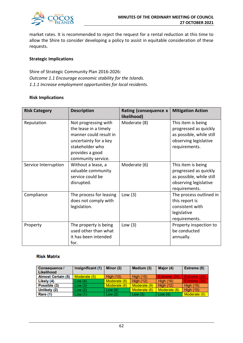

market rates. It is recommended to reject the request for a rental reduction at this time to allow the Shire to consider developing a policy to assist in equitable consideration of these requests.

## **Strategic Implications**

Shire of Strategic Community Plan 2016-2026: *Outcome 1.1 Encourage economic stability for the Islands. 1.1.1 Increase employment opportunities for local residents.*

## **Risk Implications**

| <b>Risk Category</b> | <b>Description</b>                                                                                                                                           | Rating (consequence x<br>likelihood) | <b>Mitigation Action</b>                                                                                          |
|----------------------|--------------------------------------------------------------------------------------------------------------------------------------------------------------|--------------------------------------|-------------------------------------------------------------------------------------------------------------------|
| Reputation           | Not progressing with<br>the lease in a timely<br>manner could result in<br>uncertainty for a key<br>stakeholder who<br>provides a good<br>community service. | Moderate (8)                         | This item is being<br>progressed as quickly<br>as possible, while still<br>observing legislative<br>requirements. |
| Service Interruption | Without a lease, a<br>valuable community<br>service could be<br>disrupted.                                                                                   | Moderate (6)                         | This item is being<br>progressed as quickly<br>as possible, while still<br>observing legislative<br>requirements. |
| Compliance           | The process for leasing<br>does not comply with<br>legislation.                                                                                              | Low $(3)$                            | The process outlined in<br>this report is<br>consistent with<br>legislative<br>requirements.                      |
| Property             | The property is being<br>used other than what<br>it has been intended<br>for.                                                                                | Low $(3)$                            | Property inspection to<br>be conducted<br>annually.                                                               |

## **Risk Matrix**

| <b>Consequence /</b><br>Likelihood | Insignificant (1) | Minor (2)    | Medium (3)       | Major (4)        | Extreme (5)      |
|------------------------------------|-------------------|--------------|------------------|------------------|------------------|
| <b>Almost Certain (5)</b>          | Moderate (5)      | High $(10)$  | <b>High (15)</b> | Extreme (20)     | Extreme (25)     |
| Likely (4)                         | Low(4)            | Moderate (8) | <b>High (12)</b> | <b>High (16)</b> | Extreme (20)     |
| Possible (3)                       | Low(3)            | Moderate (6) | Moderate (9)     | <b>High (12)</b> | <b>High (15)</b> |
| Unlikely (2)                       | Low(2)            | Low $(4)$    | Moderate (6)     | Moderate (8)     | High $(10)$      |
| Rare (1)                           | Low(1)            | Low $(2)$    | Low $(3)$        | Low $(4)$        | Moderate (5)     |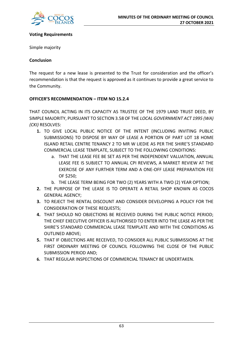

## **Voting Requirements**

Simple majority

## **Conclusion**

The request for a new lease is presented to the Trust for consideration and the officer's recommendation is that the request is approved as it continues to provide a great service to the Community.

## **OFFICER'S RECOMMENDATION – ITEM NO 15.2.4**

THAT COUNCIL ACTING IN ITS CAPACITY AS TRUSTEE OF THE 1979 LAND TRUST DEED, BY SIMPLE MAJORITY, PURSUANT TO SECTION 3.58 OF THE *LOCAL GOVERNMENT ACT 1995 (WA) (CKI)* RESOLVES:

- **1.** TO GIVE LOCAL PUBLIC NOTICE OF THE INTENT (INCLUDING INVITING PUBLIC SUBMISSIONS) TO DISPOSE BY WAY OF LEASE A PORTION OF PART LOT 18 HOME ISLAND RETAIL CENTRE TENANCY 2 TO MR W LIEDIE AS PER THE SHIRE'S STANDARD COMMERCIAL LEASE TEMPLATE, SUBJECT TO THE FOLLOWING CONDITIONS:
	- a. THAT THE LEASE FEE BE SET AS PER THE INDEPENDENT VALUATION, ANNUAL LEASE FEE IS SUBJECT TO ANNUAL CPI REVIEWS, A MARKET REVIEW AT THE EXERCISE OF ANY FURTHER TERM AND A ONE-OFF LEASE PREPARATION FEE OF \$250;
	- b. THE LEASE TERM BEING FOR TWO (2) YEARS WITH A TWO (2) YEAR OPTION;
- **2.** THE PURPOSE OF THE LEASE IS TO OPERATE A RETAIL SHOP KNOWN AS COCOS GENERAL AGENCY;
- **3.** TO REJECT THE RENTAL DISCOUNT AND CONSIDER DEVELOPING A POLICY FOR THE CONSIDERATION OF THESE REQUESTS;
- **4.** THAT SHOULD NO OBJECTIONS BE RECEIVED DURING THE PUBLIC NOTICE PERIOD; THE CHIEF EXECUTIVE OFFICER IS AUTHORISED TO ENTER INTO THE LEASE AS PER THE SHIRE'S STANDARD COMMERCIAL LEASE TEMPLATE AND WITH THE CONDITIONS AS OUTLINED ABOVE;
- **5.** THAT IF OBJECTIONS ARE RECEIVED, TO CONSIDER ALL PUBLIC SUBMISSIONS AT THE FIRST ORDINARY MEETING OF COUNCIL FOLLOWING THE CLOSE OF THE PUBLIC SUBMISSION PERIOD AND;
- **6.** THAT REGULAR INSPECTIONS OF COMMERCIAL TENANCY BE UNDERTAKEN.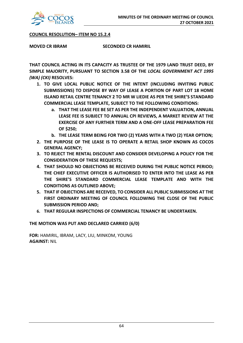

## **COUNCIL RESOLUTION– ITEM NO 15.2.4**

**MOVED CR IBRAM SECONDED CR HAMIRIL**

**THAT COUNCIL ACTING IN ITS CAPACITY AS TRUSTEE OF THE 1979 LAND TRUST DEED, BY SIMPLE MAJORITY, PURSUANT TO SECTION 3.58 OF THE** *LOCAL GOVERNMENT ACT 1995 (WA) (CKI)* **RESOLVES:**

- **1. TO GIVE LOCAL PUBLIC NOTICE OF THE INTENT (INCLUDING INVITING PUBLIC SUBMISSIONS) TO DISPOSE BY WAY OF LEASE A PORTION OF PART LOT 18 HOME ISLAND RETAIL CENTRE TENANCY 2 TO MR W LIEDIE AS PER THE SHIRE'S STANDARD COMMERCIAL LEASE TEMPLATE, SUBJECT TO THE FOLLOWING CONDITIONS:**
	- **a. THAT THE LEASE FEE BE SET AS PER THE INDEPENDENT VALUATION, ANNUAL LEASE FEE IS SUBJECT TO ANNUAL CPI REVIEWS, A MARKET REVIEW AT THE EXERCISE OF ANY FURTHER TERM AND A ONE-OFF LEASE PREPARATION FEE OF \$250;**
	- **b. THE LEASE TERM BEING FOR TWO (2) YEARS WITH A TWO (2) YEAR OPTION;**
- **2. THE PURPOSE OF THE LEASE IS TO OPERATE A RETAIL SHOP KNOWN AS COCOS GENERAL AGENCY;**
- **3. TO REJECT THE RENTAL DISCOUNT AND CONSIDER DEVELOPING A POLICY FOR THE CONSIDERATION OF THESE REQUESTS;**
- **4. THAT SHOULD NO OBJECTIONS BE RECEIVED DURING THE PUBLIC NOTICE PERIOD; THE CHIEF EXECUTIVE OFFICER IS AUTHORISED TO ENTER INTO THE LEASE AS PER THE SHIRE'S STANDARD COMMERCIAL LEASE TEMPLATE AND WITH THE CONDITIONS AS OUTLINED ABOVE;**
- **5. THAT IF OBJECTIONS ARE RECEIVED, TO CONSIDER ALL PUBLIC SUBMISSIONS AT THE FIRST ORDINARY MEETING OF COUNCIL FOLLOWING THE CLOSE OF THE PUBLIC SUBMISSION PERIOD AND;**
- **6. THAT REGULAR INSPECTIONS OF COMMERCIAL TENANCY BE UNDERTAKEN.**

## **THE MOTION WAS PUT AND DECLARED CARRIED (6/0)**

**FOR:** HAMIRIL, IBRAM, LACY, LIU, MINKOM, YOUNG **AGAINST:** NIL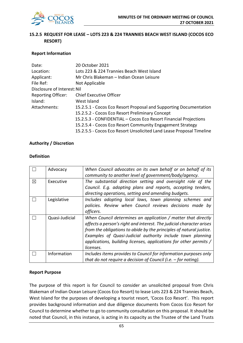

## **15.2.5 REQUEST FOR LEASE – LOTS 223 & 224 TRANNIES BEACH WEST ISLAND (COCOS ECO RESORT)**

## **Report Information**

| Date:                       | 20 October 2021                                                      |
|-----------------------------|----------------------------------------------------------------------|
| Location:                   | Lots 223 & 224 Trannies Beach West Island                            |
| Applicant:                  | Mr Chris Blakeman - Indian Ocean Leisure                             |
| File Ref:                   | Not Applicable                                                       |
| Disclosure of Interest: Nil |                                                                      |
| <b>Reporting Officer:</b>   | <b>Chief Executive Officer</b>                                       |
| Island:                     | West Island                                                          |
| Attachments:                | 15.2.5.1 - Cocos Eco Resort Proposal and Supporting Documentation    |
|                             | 15.2.5.2 - Cocos Eco Resort Preliminary Concept                      |
|                             | 15.2.5.3 - CONFIDENTIAL – Cocos Eco Resort Financial Projections     |
|                             | 15.2.5.4 - Cocos Eco Resort Community Engagement Strategy            |
|                             | 15.2.5.5 - Cocos Eco Resort Unsolicited Land Lease Proposal Timeline |

## **Authority / Discretion**

## **Definition**

|             | Advocacy       | When Council advocates on its own behalf or on behalf of its<br>community to another level of government/body/agency.                                                                                                                                                                                                                                        |
|-------------|----------------|--------------------------------------------------------------------------------------------------------------------------------------------------------------------------------------------------------------------------------------------------------------------------------------------------------------------------------------------------------------|
| $\boxtimes$ | Executive      | The substantial direction setting and oversight role of the<br>Council. E.g. adopting plans and reports, accepting tenders,<br>directing operations, setting and amending budgets.                                                                                                                                                                           |
|             | Legislative    | Includes adopting local laws, town planning schemes and<br>policies. Review when Council reviews decisions made by<br>officers.                                                                                                                                                                                                                              |
|             | Quasi-Judicial | When Council determines an application / matter that directly<br>affects a person's right and interest. The judicial character arises<br>from the obligations to abide by the principles of natural justice.<br>Examples of Quasi-Judicial authority include town planning<br>applications, building licenses, applications for other permits /<br>licenses. |
|             | Information    | Includes items provides to Council for information purposes only<br>that do not require a decision of Council (i.e. $-$ for noting).                                                                                                                                                                                                                         |

## **Report Purpose**

The purpose of this report is for Council to consider an unsolicited proposal from Chris Blakeman of Indian Ocean Leisure (Cocos Eco Resort) to lease Lots 223 & 224 Trannies Beach, West Island for the purposes of developing a tourist resort, 'Cocos Eco Resort'. This report provides background information and due diligence documents from Cocos Eco Resort for Council to determine whether to go to community consultation on this proposal. It should be noted that Council, in this instance, is acting in its capacity as the Trustee of the Land Trusts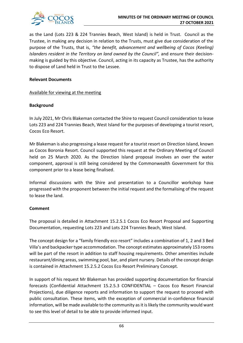

as the Land (Lots 223 & 224 Trannies Beach, West Island) is held in Trust. Council as the Trustee, in making any decision in relation to the Trusts, must give due consideration of the purpose of the Trusts, that is, *"the benefit, advancement and wellbeing of Cocos (Keeling) Islanders resident in the Territory on land owned by the Council",* and ensure their decisionmaking is guided by this objective. Council, acting in its capacity as Trustee, has the authority to dispose of Land held in Trust to the Lessee.

## **Relevant Documents**

## Available for viewing at the meeting

## **Background**

In July 2021, Mr Chris Blakeman contacted the Shire to request Council consideration to lease Lots 223 and 224 Trannies Beach, West Island for the purposes of developing a tourist resort, Cocos Eco Resort.

Mr Blakeman is also progressing a lease request for a tourist resort on Direction Island, known as Cocos Boronia Resort. Council supported this request at the Ordinary Meeting of Council held on 25 March 2020. As the Direction Island proposal involves an over the water component, approval is still being considered by the Commonwealth Government for this component prior to a lease being finalised.

Informal discussions with the Shire and presentation to a Councillor workshop have progressed with the proponent between the initial request and the formalising of the request to lease the land.

## **Comment**

The proposal is detailed in Attachment 15.2.5.1 Cocos Eco Resort Proposal and Supporting Documentation, requesting Lots 223 and Lots 224 Trannies Beach, West Island.

The concept design for a "family friendly eco resort" includes a combination of 1, 2 and 3 Bed Villa's and backpacker type accommodation. The concept estimates approximately 153 rooms will be part of the resort in addition to staff housing requirements. Other amenities include restaurant/dining areas, swimming pool, bar, and plant nursery. Details of the concept design is contained in Attachment 15.2.5.2 Cocos Eco Resort Preliminary Concept.

In support of his request Mr Blakeman has provided supporting documentation for financial forecasts (Confidential Attachment 15.2.5.3 CONFIDENTIAL – Cocos Eco Resort Financial Projections), due diligence reports and information to support the request to proceed with public consultation. These items, with the exception of commercial in-confidence financial information, will be made available to the community as it is likely the community would want to see this level of detail to be able to provide informed input.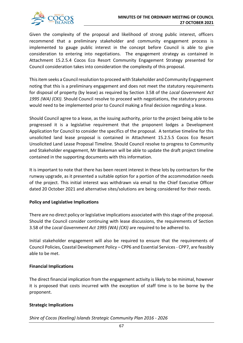

Given the complexity of the proposal and likelihood of strong public interest, officers recommend that a preliminary stakeholder and community engagement process is implemented to gauge public interest in the concept before Council is able to give consideration to entering into negotiations. The engagement strategy as contained in Attachment 15.2.5.4 Cocos Eco Resort Community Engagement Strategy presented for Council consideration takes into consideration the complexity of this proposal.

This item seeks a Council resolution to proceed with Stakeholder and Community Engagement noting that this is a preliminary engagement and does not meet the statutory requirements for disposal of property (by lease) as required by Section 3.58 of the *Local Government Act 1995 (WA) (CKI)*. Should Council resolve to proceed with negotiations, the statutory process would need to be implemented prior to Council making a final decision regarding a lease.

Should Council agree to a lease, as the issuing authority, prior to the project being able to be progressed it is a legislative requirement that the proponent lodges a Development Application for Council to consider the specifics of the proposal. A tentative timeline for this unsolicited land lease proposal is contained in Attachment 15.2.5.5 Cocos Eco Resort Unsolicited Land Lease Proposal Timeline. Should Council resolve to progress to Community and Stakeholder engagement, Mr Blakeman will be able to update the draft project timeline contained in the supporting documents with this information.

It is important to note that there has been recent interest in these lots by contractors for the runway upgrade, as it presented a suitable option for a portion of the accommodation needs of the project. This initial interest was withdrawn via email to the Chief Executive Officer dated 20 October 2021 and alternative sites/solutions are being considered for their needs.

## **Policy and Legislative Implications**

There are no direct policy or legislative implications associated with this stage of the proposal. Should the Council consider continuing with lease discussions, the requirements of Section 3.58 of the *Local Government Act 1995 (WA) (CKI)* are required to be adhered to.

Initial stakeholder engagement will also be required to ensure that the requirements of Council Policies, Coastal Development Policy – CPP6 and Essential Services - CPP7, are feasibly able to be met.

## **Financial Implications**

The direct financial implication from the engagement activity is likely to be minimal, however it is proposed that costs incurred with the exception of staff time is to be borne by the proponent.

## **Strategic Implications**

*Shire of Cocos (Keeling) Islands Strategic Community Plan 2016 - 2026*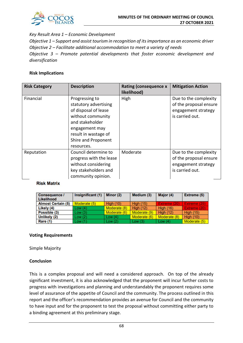

## *Key Result Area 1 – Economic Development*

*Objective 1 – Support and assist tourism in recognition of its importance as an economic driver Objective 2 – Facilitate additional accommodation to meet a variety of needs Objective 3 – Promote potential developments that foster economic development and* 

*diversification*

## **Risk Implications**

| <b>Risk Category</b> | <b>Description</b>                                                                                                                                                                     | Rating (consequence x<br>likelihood) | <b>Mitigation Action</b>                                                                  |
|----------------------|----------------------------------------------------------------------------------------------------------------------------------------------------------------------------------------|--------------------------------------|-------------------------------------------------------------------------------------------|
| Financial            | Progressing to<br>statutory advertising<br>of disposal of lease<br>without community<br>and stakeholder<br>engagement may<br>result in wastage of<br>Shire and Proponent<br>resources. | High                                 | Due to the complexity<br>of the proposal ensure<br>engagement strategy<br>is carried out. |
| Reputation           | Council determine to<br>progress with the lease<br>without considering<br>key stakeholders and<br>community opinion.                                                                   | Moderate                             | Due to the complexity<br>of the proposal ensure<br>engagement strategy<br>is carried out. |

## **Risk Matrix**

| <b>Consequence /</b><br>Likelihood | Insignificant (1) | Minor (2)        | Medium (3)       | Major (4)        | Extreme (5)      |
|------------------------------------|-------------------|------------------|------------------|------------------|------------------|
| <b>Almost Certain (5)</b>          | Moderate (5)      | <b>High (10)</b> | <b>High (15)</b> | Extreme (20)     | Extreme (25)     |
| Likely (4)                         | Low (4)           | Moderate (8)     | <b>High (12)</b> | <b>High (16)</b> | Extreme (20)     |
| Possible (3)                       | Low (3)           | Moderate (6)     | Moderate (9)     | <b>High (12)</b> | <b>High (15)</b> |
| Unlikely (2)                       | Low (2)           | Low $(4)$        | Moderate (6)     | Moderate (8)     | <b>High (10)</b> |
| Rare (1)                           | Low (1)           | Low(2)           | Low $(3)$        | Low $(4)$        | Moderate (5)     |

## **Voting Requirements**

Simple Majority

## **Conclusion**

This is a complex proposal and will need a considered approach. On top of the already significant investment, it is also acknowledged that the proponent will incur further costs to progress with investigations and planning and understandably the proponent requires some level of assurance of the appetite of Council and the community. The process outlined in this report and the officer's recommendation provides an avenue for Council and the community to have input and for the proponent to test the proposal without committing either party to a binding agreement at this preliminary stage.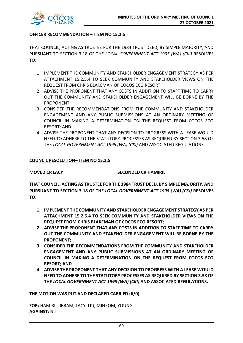

## **OFFICER RECOMMENDATION – ITEM NO 15.2.5**

THAT COUNCIL, ACTING AS TRUSTEE FOR THE 1984 TRUST DEED, BY SIMPLE MAJORITY, AND PURSUANT TO SECTION 3.18 OF THE *LOCAL GOVERNMENT ACT 1995 (WA) (CKI)* RESOLVES TO:

- 1. IMPLEMENT THE COMMUNITY AND STAKEHOLDER ENGAGEMENT STRATEGY AS PER ATTACHMENT 15.2.5.4 TO SEEK COMMUNITY AND STAKEHOLDER VIEWS ON THE REQUEST FROM CHRIS BLAKEMAN OF COCOS ECO RESORT;
- 2. ADVISE THE PROPONENT THAT ANY COSTS IN ADDITION TO STAFF TIME TO CARRY OUT THE COMMUNITY AND STAKEHOLDER ENGAGEMENT WILL BE BORNE BY THE PROPONENT;
- 3. CONSIDER THE RECOMMENDATIONS FROM THE COMMUNITY AND STAKEHOLDER ENGAGEMENT AND ANY PUBLIC SUBMISSIONS AT AN ORDINARY MEETING OF COUNCIL IN MAKING A DETERMINATION ON THE REQUEST FROM COCOS ECO RESORT; AND
- 4. ADVISE THE PROPONENT THAT ANY DECISION TO PROGRESS WITH A LEASE WOULD NEED TO ADHERE TO THE STATUTORY PROCESSES AS REQUIRED BY SECTION 3.58 OF THE *LOCAL GOVERNMENT ACT 1995 (WA) (CKI)* AND ASSOCIATED REGULATIONS.

## **COUNCIL RESOLUTION– ITEM NO 15.2.5**

**MOVED CR LACY SECONDED CR HAMIRIL**

**THAT COUNCIL, ACTING AS TRUSTEE FOR THE 1984 TRUST DEED, BY SIMPLE MAJORITY, AND PURSUANT TO SECTION 3.18 OF THE** *LOCAL GOVERNMENT ACT 1995 (WA) (CKI)* **RESOLVES TO:**

- **1. IMPLEMENT THE COMMUNITY AND STAKEHOLDER ENGAGEMENT STRATEGY AS PER ATTACHMENT 15.2.5.4 TO SEEK COMMUNITY AND STAKEHOLDER VIEWS ON THE REQUEST FROM CHRIS BLAKEMAN OF COCOS ECO RESORT;**
- **2. ADVISE THE PROPONENT THAT ANY COSTS IN ADDITION TO STAFF TIME TO CARRY OUT THE COMMUNITY AND STAKEHOLDER ENGAGEMENT WILL BE BORNE BY THE PROPONENT;**
- **3. CONSIDER THE RECOMMENDATIONS FROM THE COMMUNITY AND STAKEHOLDER ENGAGEMENT AND ANY PUBLIC SUBMISSIONS AT AN ORDINARY MEETING OF COUNCIL IN MAKING A DETERMINATION ON THE REQUEST FROM COCOS ECO RESORT; AND**
- **4. ADVISE THE PROPONENT THAT ANY DECISION TO PROGRESS WITH A LEASE WOULD NEED TO ADHERE TO THE STATUTORY PROCESSES AS REQUIRED BY SECTION 3.58 OF THE** *LOCAL GOVERNMENT ACT 1995 (WA) (CKI)* **AND ASSOCIATED REGULATIONS.**

**THE MOTION WAS PUT AND DECLARED CARRIED (6/0)**

**FOR:** HAMIRIL, IBRAM, LACY, LIU, MINKOM, YOUNG **AGAINST:** NIL